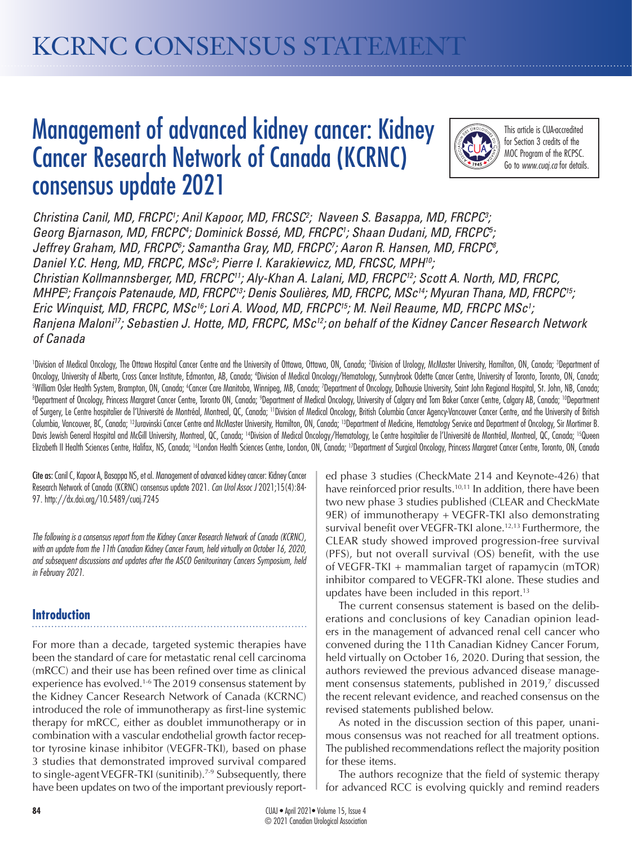# Management of advanced kidney cancer: Kidney Cancer Research Network of Canada (KCRNC) consensus update 2021



This article is CUA-accredited for Section 3 credits of the MOC Program of the RCPSC. Go to *www.cuaj.ca* for details.

Christina Canil, MD, FRCPC<sup>1</sup>; Anil Kapoor, MD, FRCSC<sup>2</sup>; Naveen S. Basappa, MD, FRCPC<sup>3</sup>; Georg Bjarnason, MD, FRCPC<sup>4</sup>; Dominick Bossé, MD, FRCPC<sup>1</sup>; Shaan Dudani, MD, FRCPC<sup>5</sup>; *Jeffrey Graham, MD, FRCPC6 ; Samantha Gray, MD, FRCPC7 ; Aaron R. Hansen, MD, FRCPC8 ,*  Daniel Y.C. Heng, MD, FRCPC, MSc<sup>9</sup>; Pierre I. Karakiewicz, MD, FRCSC, MPH<sup>10</sup>; *Christian Kollmannsberger, MD, FRCPC11; Aly-Khan A. Lalani, MD, FRCPC12; Scott A. North, MD, FRCPC, MHPE3 ; François Patenaude, MD, FRCPC13; Denis Soulières, MD, FRCPC, MSc14; Myuran Thana, MD, FRCPC15; Eric Winquist, MD, FRCPC, MSc16; Lori A. Wood, MD, FRCPC15; M. Neil Reaume, MD, FRCPC MSc1 ; Ranjena Maloni17; Sebastien J. Hotte, MD, FRCPC, MSc12; on behalf of the Kidney Cancer Research Network of Canada*

'Division of Medical Oncology, The Ottawa Hospital Cancer Centre and the University of Ottawa, Ottawa, ON, Canada; 'Division of Urology, McMaster University, Hamilton, ON, Canada; 3Department of Oncology, University of Alberta, Cross Cancer Institute, Edmonton, AB, Canada; 'Division of Medical Oncology/Hematology, Sunnybrook Odette Cancer Centre, University of Toronto, Toronto, ON, Canada;<br>SWilliam Osler Health Sy William Osler Health System, Brampton, ON, Canada; «Cancer Care Manitoba, Winnipeg, MB, Canada; "Department of Oncology, Dalhousie University, Saint John Regional Hospital, St. John, NB, Canada;<br>®Department of Oncology, Pr Department of Oncology, Princess Margaret Cancer Centre, Toronto ON, Canada; ?Department of Medical Oncology, University of Calgary and Tom Baker Cancer Centre, Calgary AB, Canada; <sup>10</sup>Department of Surgery, Le Centre hospitalier de l'Université de Montréal, Montreal, QC, Canada; <sup>11</sup>Division of Medical Oncology, British Columbia Cancer Agency-Vancouver Cancer Centre, and the University of British Columbia, Vancouver, BC, Canada; <sup>12</sup>Juravinski Cancer Centre and McMaster University, Hamilton, ON, Canada; <sup>13</sup>Department of Medicine, Hematology Service and Department of Oncology, Sir Mortimer B. Davis Jewish General Hospital and McGill University, Montreal, QC, Canada; <sup>14</sup>Division of Medical Oncology/Hematology, Le Centre hospitalier de l'Université de Montréal, Montreal, QC, Canada; <sup>15</sup>Queen Elizabeth II Health Sciences Centre, Halifax, NS, Canada; <sup>16</sup>London Health Sciences Centre, London, ON, Canada; <sup>17</sup>Department of Surgical Oncology, Princess Margaret Cancer Centre, Toronto, ON, Canada

Cite as: Canil C, Kapoor A, Basappa NS, et al. Management of advanced kidney cancer: Kidney Cancer Research Network of Canada (KCRNC) consensus update 2021. *Can Urol Assoc J* 2021;15(4):84- 97. http://dx.doi.org/10.5489/cuaj.7245

*The following is a consensus report from the Kidney Cancer Research Network of Canada (KCRNC), with an update from the 11th Canadian Kidney Cancer Forum, held virtually on October 16, 2020, and subsequent discussions and updates after the ASCO Genitourinary Cancers Symposium, held in February 2021.*

# **Introduction**

For more than a decade, targeted systemic therapies have been the standard of care for metastatic renal cell carcinoma (mRCC) and their use has been refined over time as clinical experience has evolved.1-6 The 2019 consensus statement by the Kidney Cancer Research Network of Canada (KCRNC) introduced the role of immunotherapy as first-line systemic therapy for mRCC, either as doublet immunotherapy or in combination with a vascular endothelial growth factor receptor tyrosine kinase inhibitor (VEGFR-TKI), based on phase 3 studies that demonstrated improved survival compared to single-agent VEGFR-TKI (sunitinib).<sup>7-9</sup> Subsequently, there have been updates on two of the important previously reported phase 3 studies (CheckMate 214 and Keynote-426) that have reinforced prior results.<sup>10,11</sup> In addition, there have been two new phase 3 studies published (CLEAR and CheckMate 9ER) of immunotherapy + VEGFR-TKI also demonstrating survival benefit over VEGFR-TKI alone.<sup>12,13</sup> Furthermore, the CLEAR study showed improved progression-free survival (PFS), but not overall survival (OS) benefit, with the use of VEGFR-TKI + mammalian target of rapamycin (mTOR) inhibitor compared to VEGFR-TKI alone. These studies and updates have been included in this report. $13$ 

The current consensus statement is based on the deliberations and conclusions of key Canadian opinion leaders in the management of advanced renal cell cancer who convened during the 11th Canadian Kidney Cancer Forum, held virtually on October 16, 2020. During that session, the authors reviewed the previous advanced disease management consensus statements, published in 2019,<sup>7</sup> discussed the recent relevant evidence, and reached consensus on the revised statements published below.

As noted in the discussion section of this paper, unanimous consensus was not reached for all treatment options. The published recommendations reflect the majority position for these items.

The authors recognize that the field of systemic therapy for advanced RCC is evolving quickly and remind readers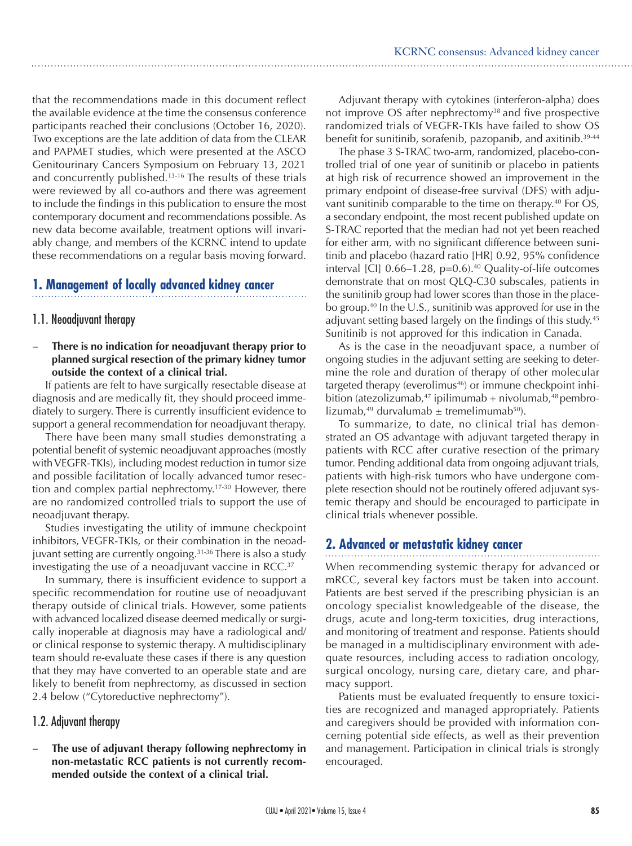that the recommendations made in this document reflect the available evidence at the time the consensus conference participants reached their conclusions (October 16, 2020). Two exceptions are the late addition of data from the CLEAR and PAPMET studies, which were presented at the ASCO Genitourinary Cancers Symposium on February 13, 2021 and concurrently published.13-16 The results of these trials were reviewed by all co-authors and there was agreement to include the findings in this publication to ensure the most contemporary document and recommendations possible. As new data become available, treatment options will invariably change, and members of the KCRNC intend to update these recommendations on a regular basis moving forward.

# **1. Management of locally advanced kidney cancer**

## 1.1. Neoadjuvant therapy

## **There is no indication for neoadjuvant therapy prior to planned surgical resection of the primary kidney tumor outside the context of a clinical trial.**

If patients are felt to have surgically resectable disease at diagnosis and are medically fit, they should proceed immediately to surgery. There is currently insufficient evidence to support a general recommendation for neoadjuvant therapy.

There have been many small studies demonstrating a potential benefit of systemic neoadjuvant approaches (mostly with VEGFR-TKIs), including modest reduction in tumor size and possible facilitation of locally advanced tumor resection and complex partial nephrectomy.17-30 However, there are no randomized controlled trials to support the use of neoadjuvant therapy.

Studies investigating the utility of immune checkpoint inhibitors, VEGFR-TKIs, or their combination in the neoadjuvant setting are currently ongoing.<sup>31-36</sup> There is also a study investigating the use of a neoadjuvant vaccine in RCC.37

In summary, there is insufficient evidence to support a specific recommendation for routine use of neoadjuvant therapy outside of clinical trials. However, some patients with advanced localized disease deemed medically or surgically inoperable at diagnosis may have a radiological and/ or clinical response to systemic therapy. A multidisciplinary team should re-evaluate these cases if there is any question that they may have converted to an operable state and are likely to benefit from nephrectomy, as discussed in section 2.4 below ("Cytoreductive nephrectomy").

# 1.2. Adjuvant therapy

The use of adjuvant therapy following nephrectomy in **non-metastatic RCC patients is not currently recommended outside the context of a clinical trial.**

Adjuvant therapy with cytokines (interferon-alpha) does not improve OS after nephrectomy<sup>38</sup> and five prospective randomized trials of VEGFR-TKIs have failed to show OS benefit for sunitinib, sorafenib, pazopanib, and axitinib. 39-44

The phase 3 S-TRAC two-arm, randomized, placebo-controlled trial of one year of sunitinib or placebo in patients at high risk of recurrence showed an improvement in the primary endpoint of disease-free survival (DFS) with adjuvant sunitinib comparable to the time on therapy.<sup>40</sup> For OS, a secondary endpoint, the most recent published update on S-TRAC reported that the median had not yet been reached for either arm, with no significant difference between sunitinib and placebo (hazard ratio [HR] 0.92, 95% confidence interval [CI]  $0.66-1.28$ , p=0.6).<sup>40</sup> Quality-of-life outcomes demonstrate that on most QLQ-C30 subscales, patients in the sunitinib group had lower scores than those in the placebo group.<sup>40</sup> In the U.S., sunitinib was approved for use in the adjuvant setting based largely on the findings of this study.<sup>45</sup> Sunitinib is not approved for this indication in Canada.

As is the case in the neoadjuvant space, a number of ongoing studies in the adjuvant setting are seeking to determine the role and duration of therapy of other molecular targeted therapy (everolimus<sup>46</sup>) or immune checkpoint inhibition (atezolizumab, $47$  ipilimumab + nivolumab, $48$  pembrolizumab,<sup>49</sup> durvalumab  $\pm$  tremelimumab<sup>50</sup>).

To summarize, to date, no clinical trial has demonstrated an OS advantage with adjuvant targeted therapy in patients with RCC after curative resection of the primary tumor. Pending additional data from ongoing adjuvant trials, patients with high-risk tumors who have undergone complete resection should not be routinely offered adjuvant systemic therapy and should be encouraged to participate in clinical trials whenever possible.

# **2. Advanced or metastatic kidney cancer**

When recommending systemic therapy for advanced or mRCC, several key factors must be taken into account. Patients are best served if the prescribing physician is an oncology specialist knowledgeable of the disease, the drugs, acute and long-term toxicities, drug interactions, and monitoring of treatment and response. Patients should be managed in a multidisciplinary environment with adequate resources, including access to radiation oncology, surgical oncology, nursing care, dietary care, and pharmacy support.

Patients must be evaluated frequently to ensure toxicities are recognized and managed appropriately. Patients and caregivers should be provided with information concerning potential side effects, as well as their prevention and management. Participation in clinical trials is strongly encouraged.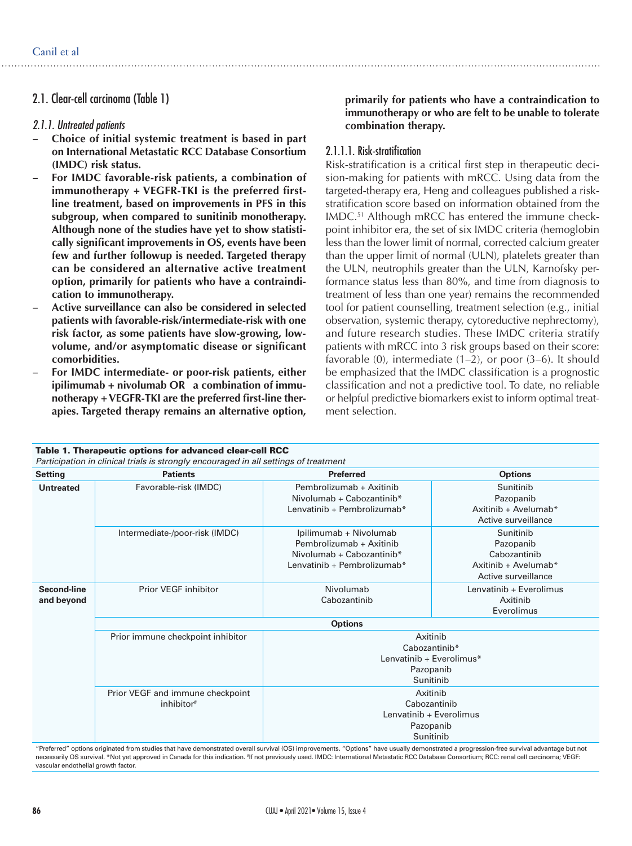# 2.1. Clear-cell carcinoma (Table 1)

#### *2.1.1. Untreated patients*

- Choice of initial systemic treatment is based in part **on International Metastatic RCC Database Consortium (IMDC) risk status.**
- For IMDC favorable-risk patients, a combination of **immunotherapy + VEGFR-TKI is the preferred firstline treatment, based on improvements in PFS in this subgroup, when compared to sunitinib monotherapy. Although none of the studies have yet to show statistically significant improvements in OS, events have been few and further followup is needed. Targeted therapy can be considered an alternative active treatment option, primarily for patients who have a contraindication to immunotherapy.**
- Active surveillance can also be considered in selected **patients with favorable-risk/intermediate-risk with one risk factor, as some patients have slow-growing, lowvolume, and/or asymptomatic disease or significant comorbidities.**
- For IMDC intermediate- or poor-risk patients, either **ipilimumab + nivolumab OR a combination of immunotherapy + VEGFR-TKI are the preferred first-line therapies. Targeted therapy remains an alternative option,**

#### **primarily for patients who have a contraindication to immunotherapy or who are felt to be unable to tolerate combination therapy.**

#### 2.1.1.1. Risk-stratification

Risk-stratification is a critical first step in therapeutic decision-making for patients with mRCC. Using data from the targeted-therapy era, Heng and colleagues published a riskstratification score based on information obtained from the IMDC.51 Although mRCC has entered the immune checkpoint inhibitor era, the set of six IMDC criteria (hemoglobin less than the lower limit of normal, corrected calcium greater than the upper limit of normal (ULN), platelets greater than the ULN, neutrophils greater than the ULN, Karnofsky performance status less than 80%, and time from diagnosis to treatment of less than one year) remains the recommended tool for patient counselling, treatment selection (e.g., initial observation, systemic therapy, cytoreductive nephrectomy), and future research studies. These IMDC criteria stratify patients with mRCC into 3 risk groups based on their score: favorable (0), intermediate (1–2), or poor (3–6). It should be emphasized that the IMDC classification is a prognostic classification and not a predictive tool. To date, no reliable or helpful predictive biomarkers exist to inform optimal treatment selection.

| Table 1. Therapeutic options for advanced clear-cell RCC<br>Participation in clinical trials is strongly encouraged in all settings of treatment |                                                            |                                                                                                                |                                                                                       |  |
|--------------------------------------------------------------------------------------------------------------------------------------------------|------------------------------------------------------------|----------------------------------------------------------------------------------------------------------------|---------------------------------------------------------------------------------------|--|
| <b>Setting</b>                                                                                                                                   | <b>Patients</b>                                            | <b>Preferred</b>                                                                                               | <b>Options</b>                                                                        |  |
| <b>Untreated</b>                                                                                                                                 | Favorable-risk (IMDC)                                      | Pembrolizumab + Axitinib<br>Nivolumab + Cabozantinib*<br>Lenvatinib + Pembrolizumab*                           | Sunitinib<br>Pazopanib<br>Axitinib + Avelumab*<br>Active surveillance                 |  |
|                                                                                                                                                  | Intermediate-/poor-risk (IMDC)                             | Ipilimumab + Nivolumab<br>Pembrolizumab + Axitinib<br>Nivolumab + Cabozantinib*<br>Lenvatinib + Pembrolizumab* | Sunitinib<br>Pazopanib<br>Cabozantinib<br>Axitinib + Avelumab*<br>Active surveillance |  |
| Second-line<br>and beyond                                                                                                                        | <b>Prior VEGF inhibitor</b>                                | Nivolumab<br>Cabozantinib                                                                                      | Lenvatinib + Everolimus<br>Axitinib<br>Everolimus                                     |  |
|                                                                                                                                                  | <b>Options</b>                                             |                                                                                                                |                                                                                       |  |
|                                                                                                                                                  | Prior immune checkpoint inhibitor                          | Axitinib<br>Cabozantinib*<br>Lenvatinib + Everolimus*<br>Pazopanib<br>Sunitinib                                |                                                                                       |  |
|                                                                                                                                                  | Prior VEGF and immune checkpoint<br>inhibitor <sup>#</sup> | Axitinib<br>Cabozantinib<br>Lenvatinib + Everolimus<br>Pazopanib<br>Sunitinib                                  |                                                                                       |  |

"Preferred" options originated from studies that have demonstrated overall survival (OS) improvements. "Options" have usually demonstrated a progression-free survival advantage but not necessarily OS survival. \*Not yet approved in Canada for this indication. #If not previously used. IMDC: International Metastatic RCC Database Consortium; RCC: renal cell carcinoma; VEGF: vascular endothelial growth factor.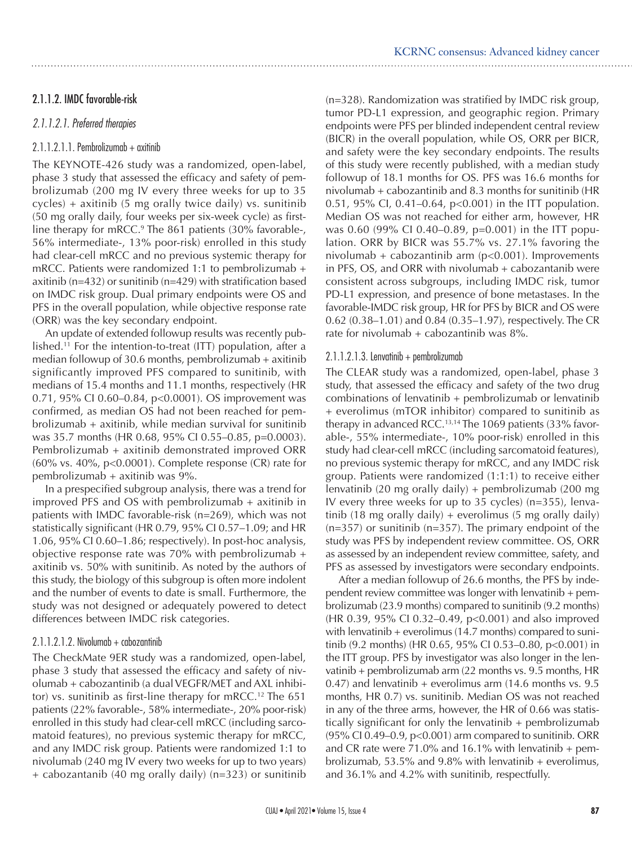# 2.1.1.2. IMDC favorable-risk

## *2.1.1.2.1. Preferred therapies*

# 2.1.1.2.1.1. Pembrolizumab + axitinib

The KEYNOTE-426 study was a randomized, open-label, phase 3 study that assessed the efficacy and safety of pembrolizumab (200 mg IV every three weeks for up to 35 cycles) + axitinib (5 mg orally twice daily) vs. sunitinib (50 mg orally daily, four weeks per six-week cycle) as firstline therapy for mRCC.<sup>9</sup> The 861 patients (30% favorable-, 56% intermediate-, 13% poor-risk) enrolled in this study had clear-cell mRCC and no previous systemic therapy for mRCC. Patients were randomized 1:1 to pembrolizumab + axitinib (n=432) or sunitinib (n=429) with stratification based on IMDC risk group. Dual primary endpoints were OS and PFS in the overall population, while objective response rate (ORR) was the key secondary endpoint.

An update of extended followup results was recently published.<sup>11</sup> For the intention-to-treat (ITT) population, after a median followup of 30.6 months, pembrolizumab + axitinib significantly improved PFS compared to sunitinib, with medians of 15.4 months and 11.1 months, respectively (HR 0.71, 95% CI 0.60–0.84, p<0.0001). OS improvement was confirmed, as median OS had not been reached for pembrolizumab + axitinib, while median survival for sunitinib was 35.7 months (HR 0.68, 95% CI 0.55–0.85, p=0.0003). Pembrolizumab + axitinib demonstrated improved ORR (60% vs. 40%, p<0.0001). Complete response (CR) rate for pembrolizumab + axitinib was 9%.

In a prespecified subgroup analysis, there was a trend for improved PFS and OS with pembrolizumab + axitinib in patients with IMDC favorable-risk (n=269), which was not statistically significant (HR 0.79, 95% CI 0.57–1.09; and HR 1.06, 95% CI 0.60–1.86; respectively). In post-hoc analysis, objective response rate was  $70\%$  with pembrolizumab + axitinib vs. 50% with sunitinib. As noted by the authors of this study, the biology of this subgroup is often more indolent and the number of events to date is small. Furthermore, the study was not designed or adequately powered to detect differences between IMDC risk categories.

## 2.1.1.2.1.2. Nivolumab + cabozantinib

The CheckMate 9ER study was a randomized, open-label, phase 3 study that assessed the efficacy and safety of nivolumab + cabozantinib (a dual VEGFR/MET and AXL inhibitor) vs. sunitinib as first-line therapy for mRCC.<sup>12</sup> The  $651$ patients (22% favorable-, 58% intermediate-, 20% poor-risk) enrolled in this study had clear-cell mRCC (including sarcomatoid features), no previous systemic therapy for mRCC, and any IMDC risk group. Patients were randomized 1:1 to nivolumab (240 mg IV every two weeks for up to two years) + cabozantanib (40 mg orally daily) (n=323) or sunitinib

(n=328). Randomization was stratified by IMDC risk group, tumor PD-L1 expression, and geographic region. Primary endpoints were PFS per blinded independent central review (BICR) in the overall population, while OS, ORR per BICR, and safety were the key secondary endpoints. The results of this study were recently published, with a median study followup of 18.1 months for OS. PFS was 16.6 months for nivolumab + cabozantinib and 8.3 months for sunitinib (HR 0.51, 95% CI, 0.41–0.64, p<0.001) in the ITT population. Median OS was not reached for either arm, however, HR was 0.60 (99% CI 0.40–0.89, p=0.001) in the ITT population. ORR by BICR was 55.7% vs. 27.1% favoring the nivolumab + cabozantinib arm  $(p<0.001)$ . Improvements in PFS,  $OS$ , and ORR with nivolumab  $+$  cabozantanib were consistent across subgroups, including IMDC risk, tumor PD-L1 expression, and presence of bone metastases. In the favorable-IMDC risk group, HR for PFS by BICR and OS were 0.62 (0.38–1.01) and 0.84 (0.35–1.97), respectively. The CR rate for nivolumab  $+$  cabozantinib was  $8\%$ .

#### 2.1.1.2.1.3. Lenvatinib + pembrolizumab

The CLEAR study was a randomized, open-label, phase 3 study, that assessed the efficacy and safety of the two drug combinations of lenvatinib + pembrolizumab or lenvatinib + everolimus (mTOR inhibitor) compared to sunitinib as therapy in advanced RCC.<sup>13,14</sup> The 1069 patients  $(33\%$  favorable-, 55% intermediate-, 10% poor-risk) enrolled in this study had clear-cell mRCC (including sarcomatoid features), no previous systemic therapy for mRCC, and any IMDC risk group. Patients were randomized (1:1:1) to receive either lenvatinib (20 mg orally daily) + pembrolizumab (200 mg IV every three weeks for up to 35 cycles) (n=355), lenvatinib (18 mg orally daily) + everolimus (5 mg orally daily)  $(n=357)$  or sunitinib  $(n=357)$ . The primary endpoint of the study was PFS by independent review committee. OS, ORR as assessed by an independent review committee, safety, and PFS as assessed by investigators were secondary endpoints.

After a median followup of 26.6 months, the PFS by independent review committee was longer with lenvatinib + pembrolizumab (23.9 months) compared to sunitinib (9.2 months) (HR 0.39, 95% CI 0.32–0.49, p<0.001) and also improved with lenvatinib  $+$  everolimus (14.7 months) compared to sunitinib (9.2 months) (HR 0.65, 95% CI 0.53-0.80, p<0.001) in the ITT group. PFS by investigator was also longer in the lenvatinib + pembrolizumab arm (22 months vs. 9.5 months, HR 0.47) and lenvatinib  $+$  everolimus arm (14.6 months vs. 9.5) months, HR 0.7) vs. sunitinib. Median OS was not reached in any of the three arms, however, the HR of 0.66 was statistically significant for only the lenvatinib + pembrolizumab  $(95\%$  CI 0.49–0.9, p<0.001) arm compared to sunitinib. ORR and CR rate were 71.0% and 16.1% with lenvatinib  $+$  pembrolizumab, 53.5% and 9.8% with lenvatinib + everolimus, and 36.1% and 4.2% with sunitinib, respectfully.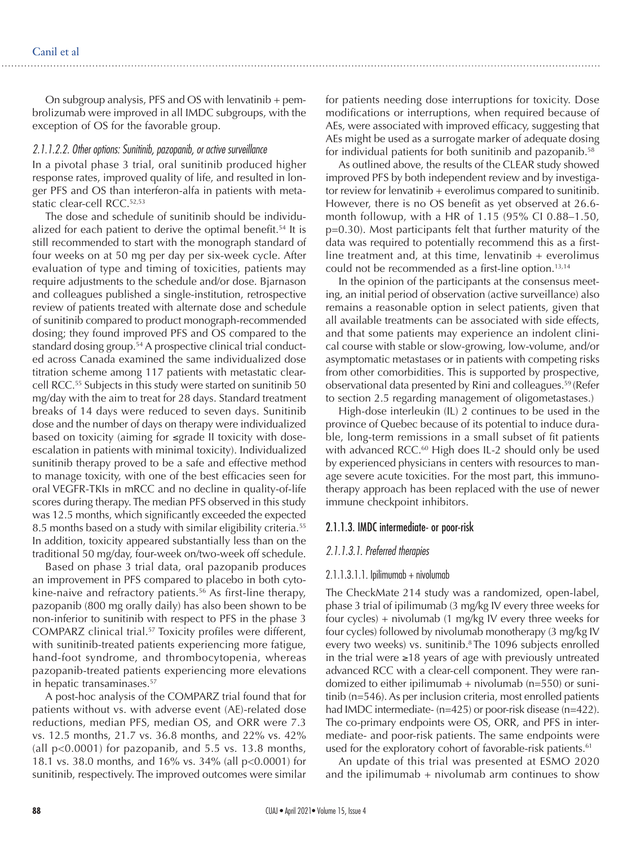On subgroup analysis, PFS and OS with lenvatinib  $+$  pembrolizumab were improved in all IMDC subgroups, with the exception of OS for the favorable group.

#### *2.1.1.2.2. Other options: Sunitinib, pazopanib, or active surveillance*

In a pivotal phase 3 trial, oral sunitinib produced higher response rates, improved quality of life, and resulted in longer PFS and OS than interferon-alfa in patients with metastatic clear-cell RCC.52,53

The dose and schedule of sunitinib should be individualized for each patient to derive the optimal benefit.<sup>54</sup> It is still recommended to start with the monograph standard of four weeks on at 50 mg per day per six-week cycle. After evaluation of type and timing of toxicities, patients may require adjustments to the schedule and/or dose. Bjarnason and colleagues published a single-institution, retrospective review of patients treated with alternate dose and schedule of sunitinib compared to product monograph-recommended dosing; they found improved PFS and OS compared to the standard dosing group.<sup>54</sup> A prospective clinical trial conducted across Canada examined the same individualized dose titration scheme among 117 patients with metastatic clearcell RCC.55 Subjects in this study were started on sunitinib 50 mg/day with the aim to treat for 28 days. Standard treatment breaks of 14 days were reduced to seven days. Sunitinib dose and the number of days on therapy were individualized based on toxicity (aiming for ≤grade II toxicity with doseescalation in patients with minimal toxicity). Individualized sunitinib therapy proved to be a safe and effective method to manage toxicity, with one of the best efficacies seen for oral VEGFR-TKIs in mRCC and no decline in quality-of-life scores during therapy. The median PFS observed in this study was 12.5 months, which significantly exceeded the expected 8.5 months based on a study with similar eligibility criteria.<sup>55</sup> In addition, toxicity appeared substantially less than on the traditional 50 mg/day, four-week on/two-week off schedule.

Based on phase 3 trial data, oral pazopanib produces an improvement in PFS compared to placebo in both cytokine-naive and refractory patients.<sup>56</sup> As first-line therapy, pazopanib (800 mg orally daily) has also been shown to be non-inferior to sunitinib with respect to PFS in the phase 3 COMPARZ clinical trial.<sup>57</sup> Toxicity profiles were different, with sunitinib-treated patients experiencing more fatigue, hand-foot syndrome, and thrombocytopenia, whereas pazopanib-treated patients experiencing more elevations in hepatic transaminases.57

A post-hoc analysis of the COMPARZ trial found that for patients without vs. with adverse event (AE)-related dose reductions, median PFS, median OS, and ORR were 7.3 vs. 12.5 months, 21.7 vs. 36.8 months, and 22% vs. 42% (all p<0.0001) for pazopanib, and 5.5 vs. 13.8 months, 18.1 vs. 38.0 months, and 16% vs. 34% (all p<0.0001) for sunitinib, respectively. The improved outcomes were similar

for patients needing dose interruptions for toxicity. Dose modifications or interruptions, when required because of AEs, were associated with improved efficacy, suggesting that AEs might be used as a surrogate marker of adequate dosing for individual patients for both sunitinib and pazopanib.<sup>58</sup>

As outlined above, the results of the CLEAR study showed improved PFS by both independent review and by investigator review for lenvatinib + everolimus compared to sunitinib. However, there is no OS benefit as yet observed at 26.6 month followup, with a HR of 1.15 (95% CI 0.88–1.50, p=0.30). Most participants felt that further maturity of the data was required to potentially recommend this as a firstline treatment and, at this time, lenvatinib + everolimus could not be recommended as a first-line option.<sup>13,14</sup>

In the opinion of the participants at the consensus meeting, an initial period of observation (active surveillance) also remains a reasonable option in select patients, given that all available treatments can be associated with side effects, and that some patients may experience an indolent clinical course with stable or slow-growing, low-volume, and/or asymptomatic metastases or in patients with competing risks from other comorbidities. This is supported by prospective, observational data presented by Rini and colleagues.59 (Refer to section 2.5 regarding management of oligometastases.)

High-dose interleukin (IL) 2 continues to be used in the province of Quebec because of its potential to induce durable, long-term remissions in a small subset of fit patients with advanced RCC.<sup>60</sup> High does IL-2 should only be used by experienced physicians in centers with resources to manage severe acute toxicities. For the most part, this immunotherapy approach has been replaced with the use of newer immune checkpoint inhibitors.

#### 2.1.1.3. IMDC intermediate- or poor-risk

#### *2.1.1.3.1. Preferred therapies*

#### $2.1.1.3.1.1.$  Ipilimumab + nivolumab

The CheckMate 214 study was a randomized, open-label, phase 3 trial of ipilimumab (3 mg/kg IV every three weeks for four cycles) + nivolumab (1 mg/kg IV every three weeks for four cycles) followed by nivolumab monotherapy (3 mg/kg IV every two weeks) vs. sunitinib.<sup>8</sup> The 1096 subjects enrolled in the trial were ≥18 years of age with previously untreated advanced RCC with a clear-cell component. They were randomized to either ipilimumab  $+$  nivolumab (n=550) or sunitinib (n=546). As per inclusion criteria, most enrolled patients had IMDC intermediate- (n=425) or poor-risk disease (n=422). The co-primary endpoints were OS, ORR, and PFS in intermediate- and poor-risk patients. The same endpoints were used for the exploratory cohort of favorable-risk patients.<sup>61</sup>

An update of this trial was presented at ESMO 2020 and the ipilimumab  $+$  nivolumab arm continues to show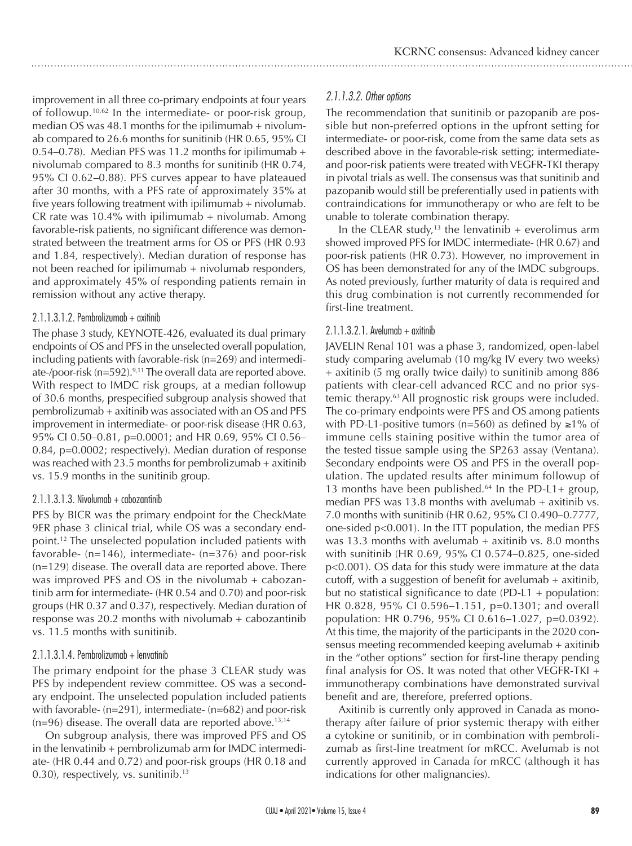improvement in all three co-primary endpoints at four years of followup.10,62 In the intermediate- or poor-risk group, median OS was 48.1 months for the ipilimumab + nivolumab compared to 26.6 months for sunitinib (HR 0.65, 95% CI 0.54–0.78). Median PFS was 11.2 months for ipilimumab + nivolumab compared to 8.3 months for sunitinib (HR 0.74, 95% CI 0.62–0.88). PFS curves appear to have plateaued after 30 months, with a PFS rate of approximately 35% at five years following treatment with ipilimumab + nivolumab. CR rate was  $10.4\%$  with ipilimumab + nivolumab. Among favorable-risk patients, no significant difference was demonstrated between the treatment arms for OS or PFS (HR 0.93 and 1.84, respectively). Median duration of response has not been reached for ipilimumab + nivolumab responders, and approximately 45% of responding patients remain in remission without any active therapy.

## 2.1.1.3.1.2. Pembrolizumab + axitinib

The phase 3 study, KEYNOTE-426, evaluated its dual primary endpoints of OS and PFS in the unselected overall population, including patients with favorable-risk (n=269) and intermediate-/poor-risk ( $n=592$ ).<sup>9,11</sup> The overall data are reported above. With respect to IMDC risk groups, at a median followup of 30.6 months, prespecified subgroup analysis showed that pembrolizumab + axitinib was associated with an OS and PFS improvement in intermediate- or poor-risk disease (HR 0.63, 95% CI 0.50–0.81, p=0.0001; and HR 0.69, 95% CI 0.56– 0.84, p=0.0002; respectively). Median duration of response was reached with 23.5 months for pembrolizumab + axitinib vs. 15.9 months in the sunitinib group.

## 2.1.1.3.1.3. Nivolumab + cabozantinib

PFS by BICR was the primary endpoint for the CheckMate 9ER phase 3 clinical trial, while OS was a secondary endpoint.12 The unselected population included patients with favorable- (n=146), intermediate- (n=376) and poor-risk (n=129) disease. The overall data are reported above. There was improved PFS and OS in the nivolumab + cabozantinib arm for intermediate- (HR 0.54 and 0.70) and poor-risk groups (HR 0.37 and 0.37), respectively. Median duration of response was 20.2 months with nivolumab + cabozantinib vs. 11.5 months with sunitinib.

# 2.1.1.3.1.4. Pembrolizumab + lenvatinib

The primary endpoint for the phase 3 CLEAR study was PFS by independent review committee. OS was a secondary endpoint. The unselected population included patients with favorable- (n=291), intermediate- (n=682) and poor-risk  $(n=96)$  disease. The overall data are reported above.<sup>13,14</sup>

On subgroup analysis, there was improved PFS and OS in the lenvatinib + pembrolizumab arm for IMDC intermediate- (HR 0.44 and 0.72) and poor-risk groups (HR 0.18 and 0.30), respectively, vs. sunitinib.<sup>13</sup>

# *2.1.1.3.2. Other options*

The recommendation that sunitinib or pazopanib are possible but non-preferred options in the upfront setting for intermediate- or poor-risk, come from the same data sets as described above in the favorable-risk setting; intermediateand poor-risk patients were treated with VEGFR-TKI therapy in pivotal trials as well. The consensus was that sunitinib and pazopanib would still be preferentially used in patients with contraindications for immunotherapy or who are felt to be unable to tolerate combination therapy.

In the CLEAR study,<sup>13</sup> the lenvatinib + everolimus arm showed improved PFS for IMDC intermediate- (HR 0.67) and poor-risk patients (HR 0.73). However, no improvement in OS has been demonstrated for any of the IMDC subgroups. As noted previously, further maturity of data is required and this drug combination is not currently recommended for first-line treatment.

# 2.1.1.3.2.1. Avelumab + axitinib

JAVELIN Renal 101 was a phase 3, randomized, open-label study comparing avelumab (10 mg/kg IV every two weeks) + axitinib (5 mg orally twice daily) to sunitinib among 886 patients with clear-cell advanced RCC and no prior systemic therapy.63 All prognostic risk groups were included. The co-primary endpoints were PFS and OS among patients with PD-L1-positive tumors (n=560) as defined by ≥1% of immune cells staining positive within the tumor area of the tested tissue sample using the SP263 assay (Ventana). Secondary endpoints were OS and PFS in the overall population. The updated results after minimum followup of 13 months have been published. $64$  In the PD-L1+ group, median PFS was 13.8 months with avelumab + axitinib vs. 7.0 months with sunitinib (HR 0.62, 95% CI 0.490–0.7777, one-sided p<0.001). In the ITT population, the median PFS was 13.3 months with avelumab  $+$  axitinib vs. 8.0 months with sunitinib (HR 0.69, 95% CI 0.574–0.825, one-sided p<0.001). OS data for this study were immature at the data cutoff, with a suggestion of benefit for avelumab + axitinib, but no statistical significance to date (PD-L1 + population: HR 0.828, 95% CI 0.596–1.151, p=0.1301; and overall population: HR 0.796, 95% CI 0.616–1.027, p=0.0392). At this time, the majority of the participants in the 2020 consensus meeting recommended keeping avelumab + axitinib in the "other options" section for first-line therapy pending final analysis for OS. It was noted that other VEGFR-TKI + immunotherapy combinations have demonstrated survival benefit and are, therefore, preferred options.

Axitinib is currently only approved in Canada as monotherapy after failure of prior systemic therapy with either a cytokine or sunitinib, or in combination with pembrolizumab as first-line treatment for mRCC. Avelumab is not currently approved in Canada for mRCC (although it has indications for other malignancies).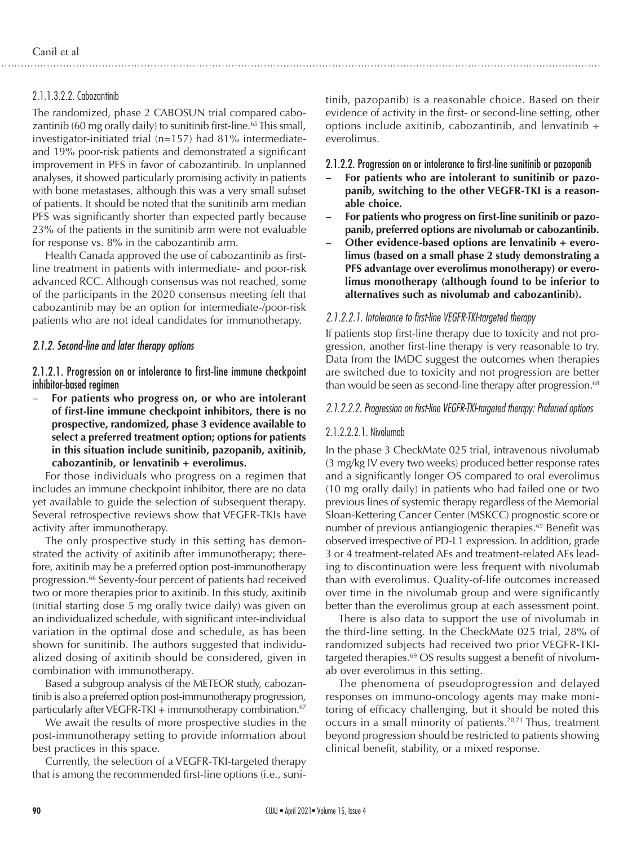## 2.1.1.3.2.2. Cabozantinib

The randomized, phase 2 CABOSUN trial compared cabozantinib (60 mg orally daily) to sunitinib first-line.<sup>65</sup> This small, investigator-initiated trial (n=157) had 81% intermediateand 19% poor-risk patients and demonstrated a significant improvement in PFS in favor of cabozantinib. In unplanned analyses, it showed particularly promising activity in patients with bone metastases, although this was a very small subset of patients. It should be noted that the sunitinib arm median PFS was significantly shorter than expected partly because 23% of the patients in the sunitinib arm were not evaluable for response vs. 8% in the cabozantinib arm.

Health Canada approved the use of cabozantinib as firstline treatment in patients with intermediate- and poor-risk advanced RCC. Although consensus was not reached, some of the participants in the 2020 consensus meeting felt that cabozantinib may be an option for intermediate-/poor-risk patients who are not ideal candidates for immunotherapy.

## *2.1.2. Second-line and later therapy options*

2.1.2.1. Progression on or intolerance to first-line immune checkpoint inhibitor-based regimen

For patients who progress on, or who are intolerant **of first-line immune checkpoint inhibitors, there is no prospective, randomized, phase 3 evidence available to select a preferred treatment option; options for patients in this situation include sunitinib, pazopanib, axitinib, cabozantinib, or lenvatinib + everolimus.**

For those individuals who progress on a regimen that includes an immune checkpoint inhibitor, there are no data yet available to guide the selection of subsequent therapy. Several retrospective reviews show that VEGFR-TKIs have activity after immunotherapy.

The only prospective study in this setting has demonstrated the activity of axitinib after immunotherapy; therefore, axitinib may be a preferred option post-immunotherapy progression.<sup>66</sup> Seventy-four percent of patients had received two or more therapies prior to axitinib. In this study, axitinib (initial starting dose 5 mg orally twice daily) was given on an individualized schedule, with significant inter-individual variation in the optimal dose and schedule, as has been shown for sunitinib. The authors suggested that individualized dosing of axitinib should be considered, given in combination with immunotherapy.

Based a subgroup analysis of the METEOR study, cabozantinib is also a preferred option post-immunotherapy progression, particularly after VEGFR-TKI  $+$  immunotherapy combination.<sup>67</sup>

We await the results of more prospective studies in the post-immunotherapy setting to provide information about best practices in this space.

Currently, the selection of a VEGFR-TKI-targeted therapy that is among the recommended first-line options (i.e., sunitinib, pazopanib) is a reasonable choice. Based on their evidence of activity in the first- or second-line setting, other options include axitinib, cabozantinib, and lenvatinib + everolimus.

2.1.2.2. Progression on or intolerance to first-line sunitinib or pazopanib

- For patients who are intolerant to sunitinib or pazo**panib, switching to the other VEGFR-TKI is a reasonable choice.**
- For patients who progress on first-line sunitinib or pazo**panib, preferred options are nivolumab or cabozantinib.**
- Other evidence-based options are lenvatinib + evero**limus (based on a small phase 2 study demonstrating a PFS advantage over everolimus monotherapy) or everolimus monotherapy (although found to be inferior to alternatives such as nivolumab and cabozantinib).**

## *2.1.2.2.1. Intolerance to first-line VEGFR-TKI-targeted therapy*

If patients stop first-line therapy due to toxicity and not progression, another first-line therapy is very reasonable to try. Data from the IMDC suggest the outcomes when therapies are switched due to toxicity and not progression are better than would be seen as second-line therapy after progression.<sup>68</sup>

## *2.1.2.2.2. Progression on first-line VEGFR-TKI-targeted therapy: Preferred options*

#### 2.1.2.2.2.1. Nivolumab

In the phase 3 CheckMate 025 trial, intravenous nivolumab (3 mg/kg IV every two weeks) produced better response rates and a significantly longer OS compared to oral everolimus (10 mg orally daily) in patients who had failed one or two previous lines of systemic therapy regardless of the Memorial Sloan-Kettering Cancer Center (MSKCC) prognostic score or number of previous antiangiogenic therapies.<sup>69</sup> Benefit was observed irrespective of PD-L1 expression. In addition, grade 3 or 4 treatment-related AEs and treatment-related AEs leading to discontinuation were less frequent with nivolumab than with everolimus. Quality-of-life outcomes increased over time in the nivolumab group and were significantly better than the everolimus group at each assessment point.

There is also data to support the use of nivolumab in the third-line setting. In the CheckMate 025 trial, 28% of randomized subjects had received two prior VEGFR-TKItargeted therapies.<sup>69</sup> OS results suggest a benefit of nivolumab over everolimus in this setting.

The phenomena of pseudoprogression and delayed responses on immuno-oncology agents may make monitoring of efficacy challenging, but it should be noted this occurs in a small minority of patients.<sup>70,71</sup> Thus, treatment beyond progression should be restricted to patients showing clinical benefit, stability, or a mixed response.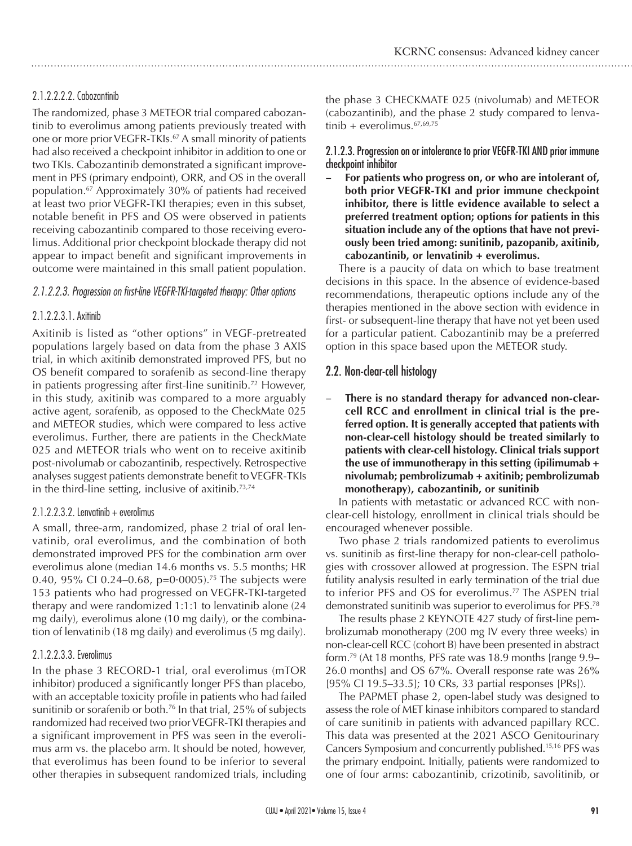# 2.1.2.2.2.2. Cabozantinib

The randomized, phase 3 METEOR trial compared cabozantinib to everolimus among patients previously treated with one or more prior VEGFR-TKIs.<sup>67</sup> A small minority of patients had also received a checkpoint inhibitor in addition to one or two TKIs. Cabozantinib demonstrated a significant improvement in PFS (primary endpoint), ORR, and OS in the overall population.67 Approximately 30% of patients had received at least two prior VEGFR-TKI therapies; even in this subset, notable benefit in PFS and OS were observed in patients receiving cabozantinib compared to those receiving everolimus. Additional prior checkpoint blockade therapy did not appear to impact benefit and significant improvements in outcome were maintained in this small patient population.

# *2.1.2.2.3. Progression on first-line VEGFR-TKI-targeted therapy: Other options*

# 2.1.2.2.3.1. Axitinib

Axitinib is listed as "other options" in VEGF-pretreated populations largely based on data from the phase 3 AXIS trial, in which axitinib demonstrated improved PFS, but no OS benefit compared to sorafenib as second-line therapy in patients progressing after first-line sunitinib.72 However, in this study, axitinib was compared to a more arguably active agent, sorafenib, as opposed to the CheckMate 025 and METEOR studies, which were compared to less active everolimus. Further, there are patients in the CheckMate 025 and METEOR trials who went on to receive axitinib post-nivolumab or cabozantinib, respectively. Retrospective analyses suggest patients demonstrate benefit to VEGFR-TKIs in the third-line setting, inclusive of axitinib.<sup>73,74</sup>

## 2.1.2.2.3.2. Lenvatinib + everolimus

A small, three-arm, randomized, phase 2 trial of oral lenvatinib, oral everolimus, and the combination of both demonstrated improved PFS for the combination arm over everolimus alone (median 14.6 months vs. 5.5 months; HR 0.40, 95% CI 0.24–0.68, p=0 $0.0005$ ).<sup>75</sup> The subjects were 153 patients who had progressed on VEGFR-TKI-targeted therapy and were randomized 1:1:1 to lenvatinib alone (24 mg daily), everolimus alone (10 mg daily), or the combination of lenvatinib (18 mg daily) and everolimus (5 mg daily).

# 2.1.2.2.3.3. Everolimus

In the phase 3 RECORD-1 trial, oral everolimus (mTOR inhibitor) produced a significantly longer PFS than placebo, with an acceptable toxicity profile in patients who had failed sunitinib or sorafenib or both.<sup>76</sup> In that trial, 25% of subjects randomized had received two prior VEGFR-TKI therapies and a significant improvement in PFS was seen in the everolimus arm vs. the placebo arm. It should be noted, however, that everolimus has been found to be inferior to several other therapies in subsequent randomized trials, including the phase 3 CHECKMATE 025 (nivolumab) and METEOR (cabozantinib), and the phase 2 study compared to lenvatinib + everolimus.  $67,69,75$ 

## 2.1.2.3. Progression on or intolerance to prior VEGFR-TKI AND prior immune checkpoint inhibitor

For patients who progress on, or who are intolerant of, **both prior VEGFR-TKI and prior immune checkpoint inhibitor, there is little evidence available to select a preferred treatment option; options for patients in this situation include any of the options that have not previously been tried among: sunitinib, pazopanib, axitinib, cabozantinib, or lenvatinib + everolimus.**

There is a paucity of data on which to base treatment decisions in this space. In the absence of evidence-based recommendations, therapeutic options include any of the therapies mentioned in the above section with evidence in first- or subsequent-line therapy that have not yet been used for a particular patient. Cabozantinib may be a preferred option in this space based upon the METEOR study.

# 2.2. Non-clear-cell histology

There is no standard therapy for advanced non-clear**cell RCC and enrollment in clinical trial is the preferred option. It is generally accepted that patients with non-clear-cell histology should be treated similarly to patients with clear-cell histology. Clinical trials support the use of immunotherapy in this setting (ipilimumab + nivolumab; pembrolizumab + axitinib; pembrolizumab monotherapy), cabozantinib, or sunitinib**

In patients with metastatic or advanced RCC with nonclear-cell histology, enrollment in clinical trials should be encouraged whenever possible.

Two phase 2 trials randomized patients to everolimus vs. sunitinib as first-line therapy for non-clear-cell pathologies with crossover allowed at progression. The ESPN trial futility analysis resulted in early termination of the trial due to inferior PFS and OS for everolimus.<sup>77</sup> The ASPEN trial demonstrated sunitinib was superior to everolimus for PFS.78

The results phase 2 KEYNOTE 427 study of first-line pembrolizumab monotherapy (200 mg IV every three weeks) in non-clear-cell RCC (cohort B) have been presented in abstract form.79 (At 18 months, PFS rate was 18.9 months [range 9.9– 26.0 months] and OS 67%. Overall response rate was 26% [95% CI 19.5–33.5]; 10 CRs, 33 partial responses [PRs]).

The PAPMET phase 2, open-label study was designed to assess the role of MET kinase inhibitors compared to standard of care sunitinib in patients with advanced papillary RCC. This data was presented at the 2021 ASCO Genitourinary Cancers Symposium and concurrently published.15,16 PFS was the primary endpoint. Initially, patients were randomized to one of four arms: cabozantinib, crizotinib, savolitinib, or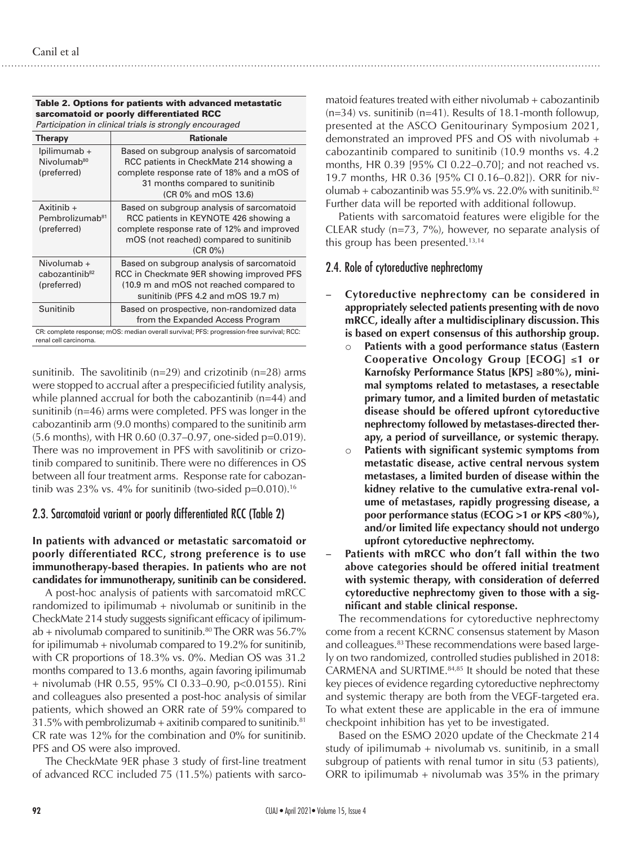| Participation in clinical trials is strongly encouraged                                                            |                                                                                                                                                                                               |  |  |  |
|--------------------------------------------------------------------------------------------------------------------|-----------------------------------------------------------------------------------------------------------------------------------------------------------------------------------------------|--|--|--|
| <b>Therapy</b>                                                                                                     | <b>Rationale</b>                                                                                                                                                                              |  |  |  |
| lpilimumab +<br>Nivolumab <sup>80</sup><br>(preferred)                                                             | Based on subgroup analysis of sarcomatoid<br>RCC patients in CheckMate 214 showing a<br>complete response rate of 18% and a mOS of<br>31 months compared to sunitinib<br>(CR 0% and mOS 13.6) |  |  |  |
| Axitinib $+$<br>Pembrolizumab <sup>81</sup><br>(preferred)                                                         | Based on subgroup analysis of sarcomatoid<br>RCC patients in KEYNOTE 426 showing a<br>complete response rate of 12% and improved<br>mOS (not reached) compared to sunitinib<br>$(CR 0\%)$     |  |  |  |
| Nivolumab +<br>cabozantinib <sup>82</sup><br>(preferred)                                                           | Based on subgroup analysis of sarcomatoid<br>RCC in Checkmate 9ER showing improved PFS<br>(10.9 m and mOS not reached compared to<br>sunitinib (PFS 4.2 and mOS 19.7 m)                       |  |  |  |
| Sunitinib                                                                                                          | Based on prospective, non-randomized data<br>from the Expanded Access Program                                                                                                                 |  |  |  |
| CR: complete response; mOS: median overall survival; PFS: progression-free survival; RCC:<br>renal cell carcinoma. |                                                                                                                                                                                               |  |  |  |

#### Table 2. Options for patients with advanced metastatic sarcomatoid or poorly differentiated RCC

sunitinib. The savolitinib  $(n=29)$  and crizotinib  $(n=28)$  arms were stopped to accrual after a prespecificied futility analysis, while planned accrual for both the cabozantinib (n=44) and sunitinib (n=46) arms were completed. PFS was longer in the cabozantinib arm (9.0 months) compared to the sunitinib arm (5.6 months), with HR 0.60 (0.37–0.97, one-sided p=0.019). There was no improvement in PFS with savolitinib or crizotinib compared to sunitinib. There were no differences in OS between all four treatment arms. Response rate for cabozantinib was 23% vs.  $4\%$  for sunitinib (two-sided p=0.010).<sup>16</sup>

# 2.3. Sarcomatoid variant or poorly differentiated RCC (Table 2)

## **In patients with advanced or metastatic sarcomatoid or poorly differentiated RCC, strong preference is to use immunotherapy-based therapies. In patients who are not candidates for immunotherapy, sunitinib can be considered.**

A post-hoc analysis of patients with sarcomatoid mRCC randomized to ipilimumab  $+$  nivolumab or sunitinib in the CheckMate 214 study suggests significant efficacy of ipilimumab + nivolumab compared to sunitinib.<sup>80</sup> The ORR was  $56.7\%$ for ipilimumab + nivolumab compared to 19.2% for sunitinib, with CR proportions of 18.3% vs. 0%. Median OS was 31.2 months compared to 13.6 months, again favoring ipilimumab + nivolumab (HR 0.55, 95% CI 0.33–0.90, p<0.0155). Rini and colleagues also presented a post-hoc analysis of similar patients, which showed an ORR rate of 59% compared to 31.5% with pembrolizumab + axitinib compared to sunitinib. $81$ CR rate was 12% for the combination and 0% for sunitinib. PFS and OS were also improved.

The CheckMate 9ER phase 3 study of first-line treatment of advanced RCC included 75 (11.5%) patients with sarco-

matoid features treated with either nivolumab + cabozantinib (n=34) vs. sunitinib (n=41). Results of 18.1-month followup, presented at the ASCO Genitourinary Symposium 2021, demonstrated an improved PFS and OS with nivolumab + cabozantinib compared to sunitinib (10.9 months vs. 4.2 months, HR 0.39 [95% CI 0.22–0.70]; and not reached vs. 19.7 months, HR 0.36 [95% CI 0.16–0.82]). ORR for nivolumab + cabozantinib was  $55.9\%$  vs. 22.0% with sunitinib.<sup>82</sup> Further data will be reported with additional followup.

Patients with sarcomatoid features were eligible for the CLEAR study (n=73, 7%), however, no separate analysis of this group has been presented.<sup>13,14</sup>

# 2.4. Role of cytoreductive nephrectomy

- **Cytoreductive nephrectomy can be considered in appropriately selected patients presenting with de novo mRCC, ideally after a multidisciplinary discussion. This is based on expert consensus of this authorship group.**
	- Patients with a good performance status (Eastern **Cooperative Oncology Group [ECOG]** ≤**1 or Karnofsky Performance Status [KPS]** ≥**80%), minimal symptoms related to metastases, a resectable primary tumor, and a limited burden of metastatic disease should be offered upfront cytoreductive nephrectomy followed by metastases-directed therapy, a period of surveillance, or systemic therapy.**
	- Patients with significant systemic symptoms from **metastatic disease, active central nervous system metastases, a limited burden of disease within the kidney relative to the cumulative extra-renal volume of metastases, rapidly progressing disease, a poor performance status (ECOG >1 or KPS <80%), and/or limited life expectancy should not undergo upfront cytoreductive nephrectomy.**
- Patients with mRCC who don't fall within the two **above categories should be offered initial treatment with systemic therapy, with consideration of deferred cytoreductive nephrectomy given to those with a significant and stable clinical response.**

The recommendations for cytoreductive nephrectomy come from a recent KCRNC consensus statement by Mason and colleagues.<sup>83</sup> These recommendations were based largely on two randomized, controlled studies published in 2018: CARMENA and SURTIME.84,85 It should be noted that these key pieces of evidence regarding cytoreductive nephrectomy and systemic therapy are both from the VEGF-targeted era. To what extent these are applicable in the era of immune checkpoint inhibition has yet to be investigated.

Based on the ESMO 2020 update of the Checkmate 214 study of ipilimumab + nivolumab vs. sunitinib, in a small subgroup of patients with renal tumor in situ (53 patients), ORR to ipilimumab  $+$  nivolumab was 35% in the primary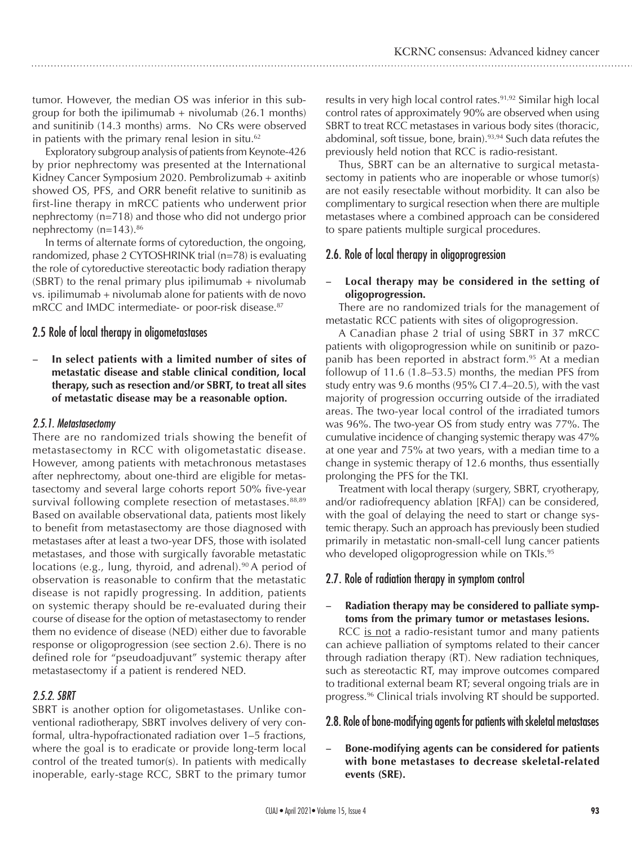tumor. However, the median OS was inferior in this subgroup for both the ipilimumab  $+$  nivolumab (26.1 months) and sunitinib (14.3 months) arms. No CRs were observed in patients with the primary renal lesion in situ.<sup>62</sup>

Exploratory subgroup analysis of patients from Keynote-426 by prior nephrectomy was presented at the International Kidney Cancer Symposium 2020. Pembrolizumab + axitinb showed OS, PFS, and ORR benefit relative to sunitinib as first-line therapy in mRCC patients who underwent prior nephrectomy (n=718) and those who did not undergo prior nephrectomy (n=143).<sup>86</sup>

In terms of alternate forms of cytoreduction, the ongoing, randomized, phase 2 CYTOSHRINK trial (n=78) is evaluating the role of cytoreductive stereotactic body radiation therapy (SBRT) to the renal primary plus ipilimumab  $+$  nivolumab vs. ipilimumab + nivolumab alone for patients with de novo mRCC and IMDC intermediate- or poor-risk disease.<sup>87</sup>

# 2.5 Role of local therapy in oligometastases

In select patients with a limited number of sites of **metastatic disease and stable clinical condition, local therapy, such as resection and/or SBRT, to treat all sites of metastatic disease may be a reasonable option.**

## *2.5.1. Metastasectomy*

There are no randomized trials showing the benefit of metastasectomy in RCC with oligometastatic disease. However, among patients with metachronous metastases after nephrectomy, about one-third are eligible for metastasectomy and several large cohorts report 50% five-year survival following complete resection of metastases.<sup>88,89</sup> Based on available observational data, patients most likely to benefit from metastasectomy are those diagnosed with metastases after at least a two-year DFS, those with isolated metastases, and those with surgically favorable metastatic locations (e.g., lung, thyroid, and adrenal).<sup>90</sup> A period of observation is reasonable to confirm that the metastatic disease is not rapidly progressing. In addition, patients on systemic therapy should be re-evaluated during their course of disease for the option of metastasectomy to render them no evidence of disease (NED) either due to favorable response or oligoprogression (see section 2.6). There is no defined role for "pseudoadjuvant" systemic therapy after metastasectomy if a patient is rendered NED.

# *2.5.2. SBRT*

SBRT is another option for oligometastases. Unlike conventional radiotherapy, SBRT involves delivery of very conformal, ultra-hypofractionated radiation over 1–5 fractions, where the goal is to eradicate or provide long-term local control of the treated tumor(s). In patients with medically inoperable, early-stage RCC, SBRT to the primary tumor

results in very high local control rates.<sup>91,92</sup> Similar high local control rates of approximately 90% are observed when using SBRT to treat RCC metastases in various body sites (thoracic, abdominal, soft tissue, bone, brain).<sup>93,94</sup> Such data refutes the previously held notion that RCC is radio-resistant.

Thus, SBRT can be an alternative to surgical metastasectomy in patients who are inoperable or whose tumor(s) are not easily resectable without morbidity. It can also be complimentary to surgical resection when there are multiple metastases where a combined approach can be considered to spare patients multiple surgical procedures.

# 2.6. Role of local therapy in oligoprogression

## Local therapy may be considered in the setting of **oligoprogression.**

There are no randomized trials for the management of metastatic RCC patients with sites of oligoprogression.

A Canadian phase 2 trial of using SBRT in 37 mRCC patients with oligoprogression while on sunitinib or pazopanib has been reported in abstract form.<sup>95</sup> At a median followup of 11.6 (1.8–53.5) months, the median PFS from study entry was 9.6 months (95% CI 7.4–20.5), with the vast majority of progression occurring outside of the irradiated areas. The two-year local control of the irradiated tumors was 96%. The two-year OS from study entry was 77%. The cumulative incidence of changing systemic therapy was 47% at one year and 75% at two years, with a median time to a change in systemic therapy of 12.6 months, thus essentially prolonging the PFS for the TKI.

Treatment with local therapy (surgery, SBRT, cryotherapy, and/or radiofrequency ablation [RFA]) can be considered, with the goal of delaying the need to start or change systemic therapy. Such an approach has previously been studied primarily in metastatic non-small-cell lung cancer patients who developed oligoprogression while on TKIs.<sup>95</sup>

# 2.7. Role of radiation therapy in symptom control

## Radiation therapy may be considered to palliate symp**toms from the primary tumor or metastases lesions.**

RCC is not a radio-resistant tumor and many patients can achieve palliation of symptoms related to their cancer through radiation therapy (RT). New radiation techniques, such as stereotactic RT, may improve outcomes compared to traditional external beam RT; several ongoing trials are in progress.96 Clinical trials involving RT should be supported.

# 2.8. Role of bone-modifying agents for patients with skeletal metastases

Bone-modifying agents can be considered for patients **with bone metastases to decrease skeletal-related events (SRE).**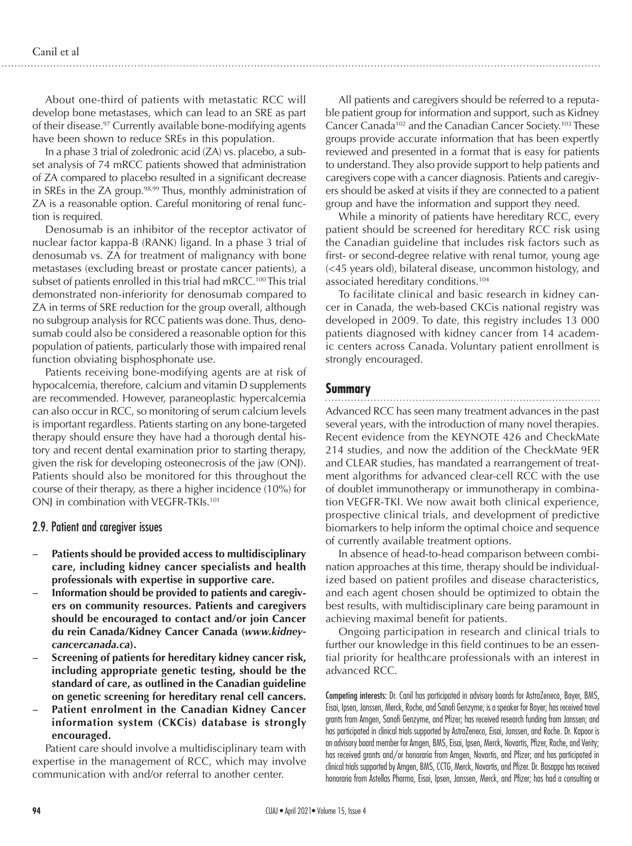About one-third of patients with metastatic RCC will develop bone metastases, which can lead to an SRE as part of their disease.97 Currently available bone-modifying agents have been shown to reduce SREs in this population.

In a phase 3 trial of zoledronic acid (ZA) vs. placebo, a subset analysis of 74 mRCC patients showed that administration of ZA compared to placebo resulted in a significant decrease in SREs in the ZA group.<sup>98,99</sup> Thus, monthly administration of ZA is a reasonable option. Careful monitoring of renal function is required.

Denosumab is an inhibitor of the receptor activator of nuclear factor kappa-B (RANK) ligand. In a phase 3 trial of denosumab vs. ZA for treatment of malignancy with bone metastases (excluding breast or prostate cancer patients), a subset of patients enrolled in this trial had mRCC.<sup>100</sup> This trial demonstrated non-inferiority for denosumab compared to ZA in terms of SRE reduction for the group overall, although no subgroup analysis for RCC patients was done. Thus, denosumab could also be considered a reasonable option for this population of patients, particularly those with impaired renal function obviating bisphosphonate use.

Patients receiving bone-modifying agents are at risk of hypocalcemia, therefore, calcium and vitamin D supplements are recommended. However, paraneoplastic hypercalcemia can also occur in RCC, so monitoring of serum calcium levels is important regardless. Patients starting on any bone-targeted therapy should ensure they have had a thorough dental history and recent dental examination prior to starting therapy, given the risk for developing osteonecrosis of the jaw (ONJ). Patients should also be monitored for this throughout the course of their therapy, as there a higher incidence (10%) for ONJ in combination with VEGFR-TKIs.<sup>101</sup>

## 2.9. Patient and caregiver issues

- Patients should be provided access to multidisciplinary **care, including kidney cancer specialists and health professionals with expertise in supportive care.**
- Information should be provided to patients and caregiv**ers on community resources. Patients and caregivers should be encouraged to contact and/or join Cancer du rein Canada/Kidney Cancer Canada (***www.kidneycancercanada.ca***).**
- **Screening of patients for hereditary kidney cancer risk, including appropriate genetic testing, should be the standard of care, as outlined in the Canadian guideline on genetic screening for hereditary renal cell cancers.**
- **Patient enrolment in the Canadian Kidney Cancer information system (CKCis) database is strongly encouraged.**

Patient care should involve a multidisciplinary team with expertise in the management of RCC, which may involve communication with and/or referral to another center.

All patients and caregivers should be referred to a reputable patient group for information and support, such as Kidney Cancer Canada102 and the Canadian Cancer Society.103 These groups provide accurate information that has been expertly reviewed and presented in a format that is easy for patients to understand. They also provide support to help patients and caregivers cope with a cancer diagnosis. Patients and caregivers should be asked at visits if they are connected to a patient group and have the information and support they need.

While a minority of patients have hereditary RCC, every patient should be screened for hereditary RCC risk using the Canadian guideline that includes risk factors such as first- or second-degree relative with renal tumor, young age (<45 years old), bilateral disease, uncommon histology, and associated hereditary conditions.104

To facilitate clinical and basic research in kidney cancer in Canada, the web-based CKCis national registry was developed in 2009. To date, this registry includes 13 000 patients diagnosed with kidney cancer from 14 academic centers across Canada. Voluntary patient enrollment is strongly encouraged.

# **Summary**

#### 

Advanced RCC has seen many treatment advances in the past several years, with the introduction of many novel therapies. Recent evidence from the KEYNOTE 426 and CheckMate 214 studies, and now the addition of the CheckMate 9ER and CLEAR studies, has mandated a rearrangement of treatment algorithms for advanced clear-cell RCC with the use of doublet immunotherapy or immunotherapy in combination VEGFR-TKI. We now await both clinical experience, prospective clinical trials, and development of predictive biomarkers to help inform the optimal choice and sequence of currently available treatment options.

In absence of head-to-head comparison between combination approaches at this time, therapy should be individualized based on patient profiles and disease characteristics, and each agent chosen should be optimized to obtain the best results, with multidisciplinary care being paramount in achieving maximal benefit for patients.

Ongoing participation in research and clinical trials to further our knowledge in this field continues to be an essential priority for healthcare professionals with an interest in advanced RCC.

Competing interests: Dr. Canil has participated in advisory boards for AstraZeneca, Bayer, BMS, Eisai, Ipsen, Janssen, Merck, Roche, and Sanofi Genzyme; is a speaker for Bayer; has received travel grants from Amgen, Sanofi Genzyme, and Pfizer; has received research funding from Janssen; and has participated in clinical trials supported by AstraZeneca, Eisai, Janssen, and Roche. Dr. Kapoor is an advisory board member for Amgen, BMS, Eisai, Ipsen, Merck, Novartis, Pfizer, Roche, and Verity; has received grants and/or honoraria from Amgen, Novartis, and Pfizer; and has participated in clinical trials supported by Amgen, BMS, CCTG, Merck, Novartis, and Pfizer. Dr. Basappa has received honoraria from Astellas Pharma, Eisai, Ipsen, Janssen, Merck, and Pfizer; has had a consulting or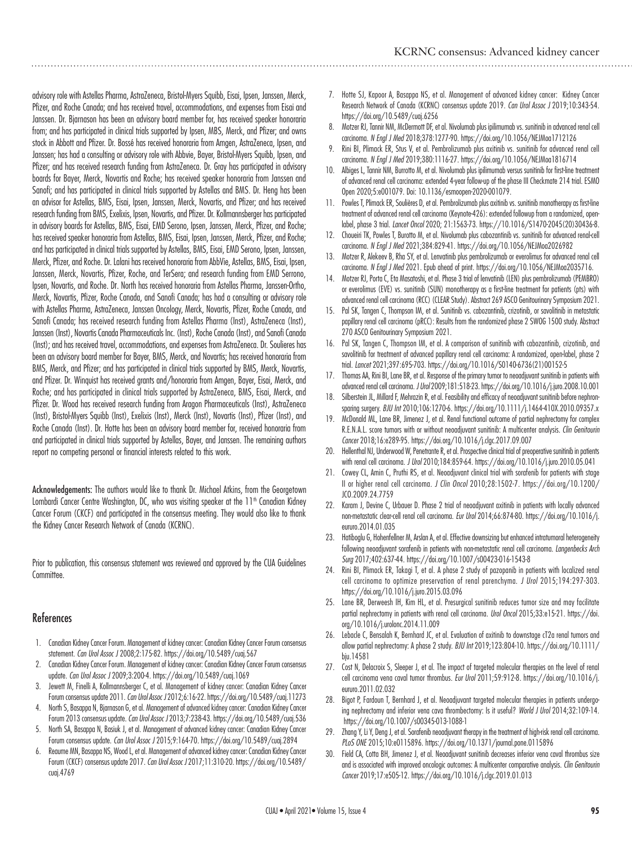advisory role with Astellas Pharma, AstraZeneca, Bristol-Myers Squibb, Eisai, Ipsen, Janssen, Merck, Pfizer, and Roche Canada; and has received travel, accommodations, and expenses from Eisai and Janssen. Dr. Bjarnason has been an advisory board member for, has received speaker honoraria from; and has participated in clinical trials supported by Ipsen, MBS, Merck, and Pfizer; and owns stock in Abbott and Pfizer. Dr. Bossé has received honoraria from Amgen, AstraZeneca, Ipsen, and Janssen; has had a consulting or advisory role with Abbvie, Bayer, Bristol-Myers Squibb, Ipsen, and Pfizer; and has received research funding from AstraZeneca. Dr. Gray has participated in advisory boards for Bayer, Merck, Novartis and Roche; has received speaker honoraria from Janssen and Sanofi; and has participated in clinical trials supported by Astellas and BMS. Dr. Heng has been an advisor for Astellas, BMS, Eisai, Ipsen, Janssen, Merck, Novartis, and Pfizer; and has received research funding from BMS, Exelixis, Ipsen, Novartis, and Pfizer. Dr. Kollmannsberger has participated in advisory boards for Astellas, BMS, Eisai, EMD Serono, Ipsen, Janssen, Merck, Pfizer, and Roche; has received speaker honoraria from Astellas, BMS, Eisai, Ipsen, Janssen, Merck, Pfizer, and Roche; and has participated in clinical trials supported by Astellas, BMS, Eisai, EMD Serono, Ipsen, Janssen, Merck, Pfizer, and Roche. Dr. Lalani has received honoraria from AbbVie, Astellas, BMS, Eisai, Ipsen, Janssen, Merck, Novartis, Pfizer, Roche, and TerSera; and research funding from EMD Serrono, Ipsen, Novartis, and Roche. Dr. North has received honoraria from Astellas Pharma, Janssen-Ortho, Merck, Novartis, Pfizer, Roche Canada, and Sanofi Canada; has had a consulting or advisory role with Astellas Pharma, AstraZeneca, Janssen Oncology, Merck, Novartis, Pfizer, Roche Canada, and Sanofi Canada; has received research funding from Astellas Pharma (Inst), AstraZeneca (Inst), Janssen (Inst), Novartis Canada Pharmaceuticals Inc. (Inst), Roche Canada (Inst), and Sanofi Canada (Inst); and has received travel, accommodations, and expenses from AstraZeneca. Dr. Soulieres has been an advisory board member for Bayer, BMS, Merck, and Novartis; has received honoraria from BMS, Merck, and Pfizer; and has participated in clinical trials supported by BMS, Merck, Novartis, and Pfizer. Dr. Winquist has received grants and/honoraria from Amgen, Bayer, Eisai, Merck, and Roche; and has participated in clinical trials supported by AstraZeneca, BMS, Eisai, Merck, and Pfizer. Dr. Wood has received research funding from Aragon Pharmaceuticals (Inst), AstraZeneca

(Inst), Bristol-Myers Squibb (Inst), Exelixis (Inst), Merck (Inst), Novartis (Inst), Pfizer (Inst), and Roche Canada (Inst). Dr. Hotte has been an advisory board member for, received honoraria from and participated in clinical trials supported by Astellas, Bayer, and Janssen. The remaining authors report no competing personal or financial interests related to this work.

Acknowledgements: The authors would like to thank Dr. Michael Atkins, from the Georgetown Lombardi Cancer Centre Washington, DC, who was visiting speaker at the  $11<sup>th</sup>$  Canadian Kidney Cancer Forum (CKCF) and participated in the consensus meeting. They would also like to thank the Kidney Cancer Research Network of Canada (KCRNC).

Prior to publication, this consensus statement was reviewed and approved by the CUA Guidelines Committee.

#### References

- 1. Canadian Kidney Cancer Forum. Management of kidney cancer: Canadian Kidney Cancer Forum consensus statement. *Can Urol Assoc J* 2008;2:175-82. https://doi.org/10.5489/cuaj.567
- 2. Canadian Kidney Cancer Forum. Management of kidney cancer: Canadian Kidney Cancer Forum consensus update. *Can Urol Assoc J* 2009;3:200-4. https://doi.org/10.5489/cuaj.1069
- 3. Jewett M, Finelli A, Kollmannsberger C, et al. Management of kidney cancer: Canadian Kidney Cancer Forum consensus update 2011. *Can Urol Assoc J* 2012;6:16-22. https://doi.org/10.5489/cuaj.11273
- 4. North S, Basappa N, Bjarnason G, et al. Management of advanced kidney cancer: Canadian Kidney Cancer Forum 2013 consensus update. *Can Urol Assoc J* 2013;7:238-43. https://doi.org/10.5489/cuaj.536
- 5. North SA, Basappa N, Basiuk J, et al. Management of advanced kidney cancer: Canadian Kidney Cancer Forum consensus update. *Can Urol Assoc J* 2015;9:164-70. https://doi.org/10.5489/cuaj.2894
- 6. Reaume MN, Basappa NS, Wood L, et al. Management of advanced kidney cancer: Canadian Kidney Cancer Forum (CKCF) consensus update 2017. *Can Urol Assoc J* 2017;11:310-20. https://doi.org/10.5489/ cuaj.4769
- 7. Hotte SJ, Kapoor A, Basappa NS, et al. Management of advanced kidney cancer: Kidney Cancer Research Network of Canada (KCRNC) consensus update 2019. *Can Urol Assoc J* 2019;10:343-54. https://doi.org/10.5489/cuaj.6256
- 8. Motzer RJ, Tannir NM, McDermott DF, et al. Nivolumab plus ipilimumab vs. sunitinib in advanced renal cell carcinoma. *N Engl J Med* 2018;378:1277-90. https://doi.org/10.1056/NEJMoa1712126
- 9. Rini BI, Plimack ER, Stus V, et al. Pembrolizumab plus axitinib vs. sunitinib for advanced renal cell carcinoma. *N Engl J Med* 2019;380:1116-27. https://doi.org/10.1056/NEJMoa1816714
- 10. Albiges L, Tannir NM, Burrotto M, et al. Nivolumab plus ipilimumab versus sunitinib for first-line treatment of advanced renal cell carcinoma: extended 4-year follow-up of the phase III Checkmate 214 trial. ESMO Open 2020;5:e001079. Doi: 10.1136/esmoopen-2020-001079.
- 11. Powles T, Plimack ER, Soulières D, et al. Pembrolizumab plus axitinib vs. sunitinib monotherapy as first-line treatment of advanced renal cell carcinoma (Keynote-426): extended followup from a randomized, openlabel, phase 3 trial. *Lancet Oncol* 2020; 21:1563-73. https://10.1016/S1470-2045(20)30436-8.
- 12. Choueiri TK, Powles T, Burotto M, et al. Nivolumab plus cabozantinib vs. sunitinib for advanced renal-cell carcinoma. *N Engl J Med* 2021;384:829-41. https://doi.org/10.1056/NEJMoa2026982
- 13. Motzer R, Alekeev B, Rha SY, et al. Lenvatinib plus pembrolizumab or everolimus for advanced renal cell carcinoma. *N Engl J Med* 2021. Epub ahead of print. https://doi.org/10.1056/NEJMoa2035716.
- 14. Motzer RJ, Porta C, Eta Masatoshi, et al. Phase 3 trial of lenvatinib (LEN) plus pembrolizumab (PEMBRO) or everolimus (EVE) vs. sunitinib (SUN) monotherapy as a first-line treatment for patients (pts) with advanced renal cell carcinoma (RCC) (CLEAR Study). Abstract 269 ASCO Genitourinary Symposium 2021.
- 15. Pal SK, Tangen C, Thompson IM, et al. Sunitinib vs. cabozantinib, crizotinib, or savolitinib in metastatic papillary renal cell carcinoma (pRCC): Results from the randomized phase 2 SWOG 1500 study. Abstract 270 ASCO Genitourinary Symposium 2021.
- 16. Pal SK, Tangen C, Thompson IM, et al. A comparison of sunitinib with cabozantinib, crizotinib, and savolitinib for treatment of advanced papillary renal cell carcinoma: A randomized, open-label, phase 2 trial. *Lancet* 2021;397:695-703. https://doi.org/10.1016/S0140-6736(21)00152-5
- 17. Thomas AA, Rini BI, Lane BR, et al. Response of the primary tumor to neoadjuvant sunitinib in patients with advanced renal cell carcinoma. *J Urol* 2009;181:518-23. https://doi.org/10.1016/j.juro.2008.10.001
- 18. Silberstein JL, Millard F, Mehrazin R, et al. Feasibility and efficacy of neoadjuvant sunitinib before nephronsparing surgery. *BJU Int* 2010;106:1270-6. https://doi.org/10.1111/j.1464-410X.2010.09357.x
- 19. McDonald ML, Lane BR, Jimenez J, et al. Renal functional outcome of partial nephrectomy for complex R.E.N.A.L. score tumors with or without neoadjuvant sunitinib: A multicenter analysis. *Clin Genitourin Cancer* 2018;16:e289-95. https://doi.org/10.1016/j.clgc.2017.09.007
- 20. Hellenthal NJ, Underwood W, Penetrante R, et al. Prospective clinical trial of preoperative sunitinib in patients with renal cell carcinoma. *J Urol* 2010;184:859-64. https://doi.org/10.1016/j.juro.2010.05.041
- 21. Cowey CL, Amin C, Pruthi RS, et al. Neoadjuvant clinical trial with sorafenib for patients with stage II or higher renal cell carcinoma. *J Clin Oncol* 2010;28:1502-7. https://doi.org/10.1200/ JCO.2009.24.7759
- 22. Karam J, Devine C, Urbauer D. Phase 2 trial of neoadjuvant axitinib in patients with locally advanced non-metastatic clear-cell renal cell carcinoma. *Eur Urol* 2014;66:874-80. https://doi.org/10.1016/j. eururo.2014.01.035
- 23. Hatiboglu G, Hohenfellner M, Arslan A, et al. Effective downsizing but enhanced intratumoral heterogeneity following neoadjuvant sorafenib in patients with non-metastatic renal cell carcinoma. *Langenbecks Arch Surg* 2017;402:637-44. https://doi.org/10.1007/s00423-016-1543-8
- 24. Rini BI, Plimack ER, Takagi T, et al. A phase 2 study of pazopanib in patients with localized renal cell carcinoma to optimize preservation of renal parenchyma. *J Urol* 2015;194:297-303. https://doi.org/10.1016/j.juro.2015.03.096
- 25. Lane BR, Derweesh IH, Kim HL, et al. Presurgical sunitinib reduces tumor size and may facilitate partial nephrectomy in patients with renal cell carcinoma. *Urol Oncol* 2015;33:e15-21. https://doi. org/10.1016/j.urolonc.2014.11.009
- 26. Lebacle C, Bensalah K, Bernhard JC, et al. Evaluation of axitinib to downstage cT2a renal tumors and allow partial nephrectomy: A phase 2 study. *BJU Int* 2019;123:804-10. https://doi.org/10.1111/ bju.14581
- 27. Cost N, Delacroix S, Sleeper J, et al. The impact of targeted molecular therapies on the level of renal cell carcinoma vena caval tumor thrombus. *Eur Urol* 2011;59:912-8. https://doi.org/10.1016/j. eururo.2011.02.032
- 28. Bigot P, Fardoun T, Bernhard J, et al. Neoadjuvant targeted molecular therapies in patients undergoing nephrectomy and inferior vena cava thrombectomy: Is it useful? *World J Urol* 2014;32:109-14. https://doi.org/10.1007/s00345-013-1088-1
- 29. Zhang Y, Li Y, Deng J, et al. Sorafenib neoadjuvant therapy in the treatment of high-risk renal cell carcinoma. *PLoS ONE* 2015;10:e0115896. https://doi.org/10.1371/journal.pone.0115896
- 30. Field CA, Cotta BH, Jimenez J, et al. Neoadjuvant sunitinib decreases inferior vena caval thrombus size and is associated with improved oncologic outcomes: A multicenter comparative analysis. *Clin Genitourin Cancer* 2019;17:e505-12. https://doi.org/10.1016/j.clgc.2019.01.013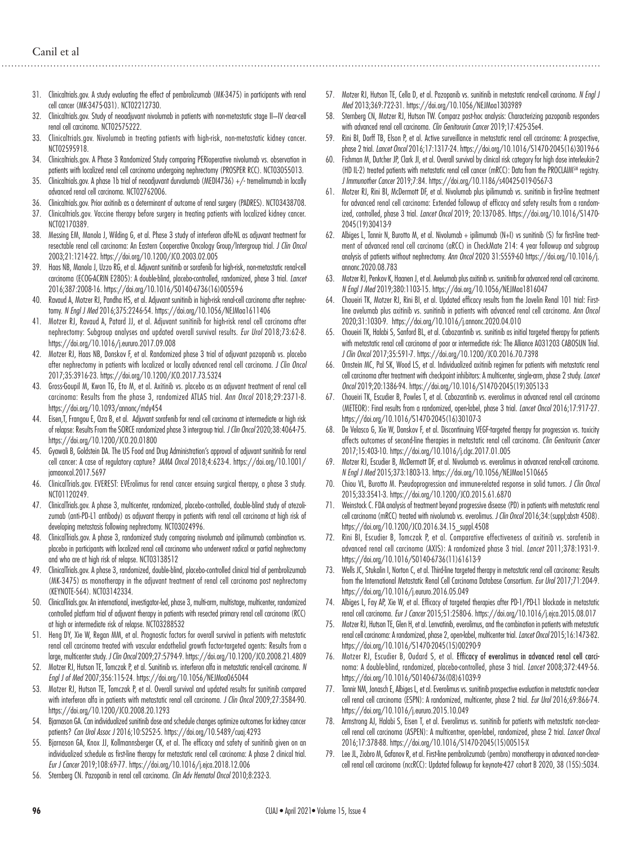- 31. Clinicaltrials.gov. A study evaluating the effect of pembrolizumab (MK-3475) in participants with renal cell cancer (MK-3475-031). NCT02212730.
- 32. Clinicaltrials.gov. Study of neoadjuvant nivolumab in patients with non-metastatic stage II—IV clear-cell renal cell carcinoma. NCT02575222.
- 33. Clinicaltrials.gov. Nivolumab in treating patients with high-risk, non-metastatic kidney cancer. NCT02595918.
- 34. Clinicaltrials.gov. A Phase 3 Randomized Study comparing PERioperative nivolumab vs. observation in patients with localized renal cell carcinoma undergoing nephrectomy (PROSPER RCC). NCT03055013.
- 35. Clinicaltrials.gov. A phase 1b trial of neoadjuvant durvalumab (MEDI4736) +/- tremelimumab in locally advanced renal cell carcinoma. NCT02762006.
- 36. Clinicaltrials.gov. Prior axitinib as a determinant of outcome of renal surgery (PADRES). NCT03438708.
- 37. Clinicaltrials.gov. Vaccine therapy before surgery in treating patients with localized kidney cancer. NCT02170389.
- 38. Messing EM, Manola J, Wilding G, et al. Phase 3 study of interferon alfa-NL as adjuvant treatment for resectable renal cell carcinoma: An Eastern Cooperative Oncology Group/Intergroup trial. *J Clin Oncol* 2003;21:1214-22. https://doi.org/10.1200/JCO.2003.02.005
- 39. Haas NB, Manola J, Uzzo RG, et al. Adjuvant sunitinib or sorafenib for high-risk, non-metastatic renal-cell carcinoma (ECOG-ACRIN E2805): A double-blind, placebo-controlled, randomized, phase 3 trial. *Lancet* 2016;387:2008-16. https://doi.org/10.1016/S0140-6736(16)00559-6
- 40. Ravaud A, Motzer RJ, Pandha HS, et al. Adjuvant sunitinib in high-risk renal-cell carcinoma after nephrectomy. *N Engl J Med* 2016;375:2246-54. https://doi.org/10.1056/NEJMoa1611406
- 41. Motzer RJ, Ravaud A, Patard JJ, et al. Adjuvant sunitinib for high-risk renal cell carcinoma after nephrectomy: Subgroup analyses and updated overall survival results. *Eur Urol* 2018;73:62-8. https://doi.org/10.1016/j.eururo.2017.09.008
- 42. Motzer RJ, Haas NB, Donskov F, et al. Randomized phase 3 trial of adjuvant pazopanib vs. placebo after nephrectomy in patients with localized or locally advanced renal cell carcinoma. *J Clin Oncol* 2017;35:3916-23. https://doi.org/10.1200/JCO.2017.73.5324
- 43. Gross-Goupil M, Kwon TG, Eto M, et al. Axitinib vs. placebo as an adjuvant treatment of renal cell carcinoma: Results from the phase 3, randomized ATLAS trial. *Ann Oncol* 2018;29:2371-8. https://doi.org/10.1093/annonc/mdy454
- 44. Eisen,T, Frangou E, Oza B, et al. Adjuvant sorafenib for renal cell carcinoma at intermediate or high risk of relapse: Results From the SORCE randomized phase 3 intergroup trial. *J Clin Oncol* 2020;38:4064-75. https://doi.org/10.1200/JCO.20.01800
- 45. Gyawali B, Goldstein DA. The US Food and Drug Administration's approval of adjuvant sunitinib for renal cell cancer: A case of regulatory capture? *JAMA Oncol* 2018;4:623-4. https://doi.org/10.1001/ jamaoncol.2017.5697
- 46. ClinicalTrials.gov. EVEREST: EVErolimus for renal cancer ensuing surgical therapy, a phase 3 study. NCT01120249.
- 47. ClinicalTrials.gov. A phase 3, multicenter, randomized, placebo-controlled, double-blind study of atezolizumab (anti‐PD‐L1 antibody) as adjuvant therapy in patients with renal cell carcinoma at high risk of developing metastasis following nephrectomy. NCT03024996.
- 48. ClinicalTrials.gov. A phase 3, randomized study comparing nivolumab and ipilimumab combination vs. placebo in participants with localized renal cell carcinoma who underwent radical or partial nephrectomy and who are at high risk of relapse. NCT03138512
- 49. ClinicalTrials.gov. A phase 3, randomized, double-blind, placebo-controlled clinical trial of pembrolizumab (MK‐3475) as monotherapy in the adjuvant treatment of renal cell carcinoma post nephrectomy (KEYNOTE‐564). NCT03142334.
- 50. ClinicalTrials.gov. An international, investigator‐led, phase 3, multi-arm, multistage, multicenter, randomized controlled platform trial of adjuvant therapy in patients with resected primary renal cell carcinoma (RCC) at high or intermediate risk of relapse. NCT03288532
- 51. Heng DY, Xie W, Regan MM, et al. Prognostic factors for overall survival in patients with metastatic renal cell carcinoma treated with vascular endothelial growth factor-targeted agents: Results from a large, multicenter study. *J Clin Oncol* 2009;27:5794-9. https://doi.org/10.1200/JCO.2008.21.4809
- 52. Motzer RJ, Hutson TE, Tomczak P, et al. Sunitinib vs. interferon alfa in metastatic renal-cell carcinoma. *N Engl J of Med* 2007;356:115-24. https://doi.org/10.1056/NEJMoa065044
- 53. Motzer RJ, Hutson TE, Tomczak P, et al. Overall survival and updated results for sunitinib compared with interferon alfa in patients with metastatic renal cell carcinoma. *J Clin Oncol* 2009;27:3584-90. https://doi.org/10.1200/JCO.2008.20.1293
- 54. Bjarnason GA. Can individualized sunitinib dose and schedule changes optimize outcomes for kidney cancer patients? *Can Urol Assoc J* 2016;10:S252-5. https://doi.org/10.5489/cuaj.4293
- 55. Bjarnason GA, Knox JJ, Kollmannsberger CK, et al. The efficacy and safety of sunitinib given on an individualized schedule as first-line therapy for metastatic renal cell carcinoma: A phase 2 clinical trial. *Eur J Cancer* 2019;108:69-77. https://doi.org/10.1016/j.ejca.2018.12.006
- 56. Sternberg CN. Pazopanib in renal cell carcinoma. *Clin Adv Hematol Oncol* 2010;8:232-3.
- 57. Motzer RJ, Hutson TE, Cella D, et al. Pazopanib vs. sunitinib in metastatic renal-cell carcinoma. *N Engl J Med* 2013;369:722-31. https://doi.org/10.1056/NEJMoa1303989
- 58. Sternberg CN, Motzer RJ, Hutson TW. Comparz post-hoc analysis: Characterizing pazopanib responders with advanced renal cell carcinoma. *Clin Genitorurin Cancer* 2019;17:425-35e4.
- 59. Rini BI, Dorff TB, Elson P, et al. Active surveillance in metastatic renal cell carcinoma: A prospective, phase 2 trial. *Lancet Oncol* 2016;17:1317-24. https://doi.org/10.1016/S1470-2045(16)30196-6
- 60. Fishman M, Dutcher JP, Clark JI, et al. Overall survival by clinical risk category for high dose interleukin-2 (HD IL-2) treated patients with metastatic renal cell cancer (mRCC): Data from the PROCLAIMSM registry. *J Immunother Cancer* 2019;7:84. https://doi.org/10.1186/s40425-019-0567-3
- 61. Motzer RJ, Rini BI, McDermott DF, et al. Nivolumab plus ipilimumab vs. sunitinib in first-line treatment for advanced renal cell carcinoma: Extended followup of efficacy and safety results from a randomized, controlled, phase 3 trial. *Lancet Oncol* 2019; 20:1370-85. https://doi.org/10.1016/S1470- 2045(19)30413-9
- 62. Albiges L, Tannir N, Burotto M, et al. Nivolumab + ipilimumab (N+I) vs sunitinib (S) for first-line treatment of advanced renal cell carcinoma (aRCC) in CheckMate 214: 4 year followup and subgroup analysis of patients without nephrectomy. *Ann Oncol* 2020 31:S559-60 https://doi.org/10.1016/j. annonc.2020.08.783
- 63. Motzer RJ, Penkov K, Haanen J, et al. Avelumab plus axitinib vs. sunitinib for advanced renal cell carcinoma. *N Engl J Med* 2019;380:1103-15. https://doi.org/10.1056/NEJMoa1816047
- 64. Choueiri TK, Motzer RJ, Rini BI, et al. Updated efficacy results from the Javelin Renal 101 trial: Firstline avelumab plus axitinib vs. sunitinib in patients with advanced renal cell carcinoma. *Ann Oncol*  2020;31:1030-9. https://doi.org/10.1016/j.annonc.2020.04.010
- 65. Choueiri TK, Halabi S, Sanford BL, et al. Cabozantinib vs. sunitinib as initial targeted therapy for patients with metastatic renal cell carcinoma of poor or intermediate risk: The Alliance A031203 CABOSUN Trial. *J Clin Oncol* 2017;35:591-7. https://doi.org/10.1200/JCO.2016.70.7398
- 66. Ornstein MC, Pal SK, Wood LS, et al. Individualized axitinib regimen for patients with metastatic renal cell carcinoma after treatment with checkpoint inhibitors: A multicenter, single-arm, phase 2 study. *Lancet Oncol* 2019;20:1386-94. https://doi.org/10.1016/S1470-2045(19)30513-3
- 67. Choueiri TK, Escudier B, Powles T, et al. Cabozantinib vs. everolimus in advanced renal cell carcinoma (METEOR): Final results from a randomized, open-label, phase 3 trial. *Lancet Oncol* 2016;17:917-27. https://doi.org/10.1016/S1470-2045(16)30107-3
- 68. De Velasco G, Xie W, Donskov F, et al. Discontinuing VEGF-targeted therapy for progression vs. toxicity affects outcomes of second-line therapies in metastatic renal cell carcinoma. *Clin Genitourin Cancer* 2017;15:403-10. https://doi.org/10.1016/j.clgc.2017.01.005
- 69. Motzer RJ, Escudier B, McDermott DF, et al. Nivolumab vs. everolimus in advanced renal-cell carcinoma. *N Engl J Med* 2015;373:1803-13. https://doi.org/10.1056/NEJMoa1510665
- 70. Chiou VL, Burotto M. Pseudoprogression and immune-related response in solid tumors. *J Clin Oncol* 2015;33:3541-3. https://doi.org/10.1200/JCO.2015.61.6870
- 71. Weinstock C. FDA analysis of treatment beyond progressive disease (PD) in patients with metastatic renal cell carcinoma (mRCC) treated with nivolumab vs. everolimus. *J Clin Oncol* 2016;34:(suppl;abstr 4508). https://doi.org/10.1200/JCO.2016.34.15\_suppl.4508
- 72. Rini BI, Escudier B, Tomczak P, et al. Comparative effectiveness of axitinib vs. sorafenib in advanced renal cell carcinoma (AXIS): A randomized phase 3 trial. *Lancet* 2011;378:1931-9. https://doi.org/10.1016/S0140-6736(11)61613-9
- 73. Wells JC, Stukalin I, Norton C, et al. Third-line targeted therapy in metastatic renal cell carcinoma: Results from the International Metastatic Renal Cell Carcinoma Database Consortium. *Eur Urol* 2017;71:204-9. https://doi.org/10.1016/j.eururo.2016.05.049
- 74. Albiges L, Fay AP, Xie W, et al. Efficacy of targeted therapies after PD-1/PD-L1 blockade in metastatic renal cell carcinoma. *Eur J Cancer* 2015;51:2580-6. https://doi.org/10.1016/j.ejca.2015.08.017
- 75. Motzer RJ, Hutson TE, Glen H, et al. Lenvatinib, everolimus, and the combination in patients with metastatic renal cell carcinoma: A randomized, phase 2, open-label, multicenter trial. *Lancet Oncol* 2015;16:1473-82. https://doi.org/10.1016/S1470-2045(15)00290-9
- 76. Motzer RJ, Escudier B, Oudard S, et al. Efficacy of everolimus in advanced renal cell carcinoma: A double-blind, randomized, placebo-controlled, phase 3 trial. *Lancet* 2008;372:449-56. https://doi.org/10.1016/S0140-6736(08)61039-9
- 77. Tannir NM, Jonasch E, Albiges L, et al. Everolimus vs. sunitinib prospective evaluation in metastatic non-clear cell renal cell carcinoma (ESPN): A randomized, multicenter, phase 2 trial. *Eur Urol* 2016;69:866-74. https://doi.org/10.1016/j.eururo.2015.10.049
- 78. Armstrong AJ, Halabi S, Eisen T, et al. Everolimus vs. sunitinib for patients with metastatic non-clearcell renal cell carcinoma (ASPEN): A multicentrer, open-label, randomized, phase 2 trial. *Lancet Oncol* 2016;17:378-88. https://doi.org/10.1016/S1470-2045(15)00515-X
- 79. Lee JL, Ziobro M, Gafanov R, et al. First-line pembrolizumab (pembro) monotherapy in advanced non-clearcell renal cell carcinoma (nccRCC): Updated followup for keynote-427 cohort B 2020, 38 (15S):5034.